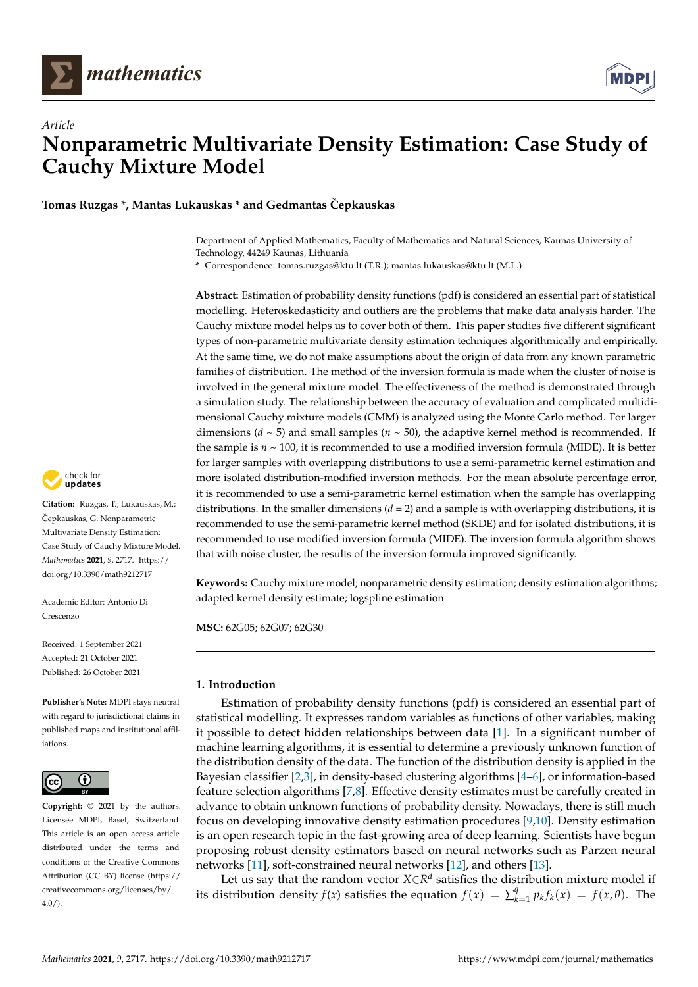



**Tomas Ruzgas \*, Mantas Lukauskas \* and Gedmantas Cepkauskas ˇ**

Department of Applied Mathematics, Faculty of Mathematics and Natural Sciences, Kaunas University of Technology, 44249 Kaunas, Lithuania

**\*** Correspondence: tomas.ruzgas@ktu.lt (T.R.); mantas.lukauskas@ktu.lt (M.L.)

**Abstract:** Estimation of probability density functions (pdf) is considered an essential part of statistical modelling. Heteroskedasticity and outliers are the problems that make data analysis harder. The Cauchy mixture model helps us to cover both of them. This paper studies five different significant types of non-parametric multivariate density estimation techniques algorithmically and empirically. At the same time, we do not make assumptions about the origin of data from any known parametric families of distribution. The method of the inversion formula is made when the cluster of noise is involved in the general mixture model. The effectiveness of the method is demonstrated through a simulation study. The relationship between the accuracy of evaluation and complicated multidimensional Cauchy mixture models (CMM) is analyzed using the Monte Carlo method. For larger dimensions ( $d \sim 5$ ) and small samples ( $n \sim 50$ ), the adaptive kernel method is recommended. If the sample is  $n \sim 100$ , it is recommended to use a modified inversion formula (MIDE). It is better for larger samples with overlapping distributions to use a semi-parametric kernel estimation and more isolated distribution-modified inversion methods. For the mean absolute percentage error, it is recommended to use a semi-parametric kernel estimation when the sample has overlapping distributions. In the smaller dimensions (*d* = 2) and a sample is with overlapping distributions, it is recommended to use the semi-parametric kernel method (SKDE) and for isolated distributions, it is recommended to use modified inversion formula (MIDE). The inversion formula algorithm shows that with noise cluster, the results of the inversion formula improved significantly.

**Keywords:** Cauchy mixture model; nonparametric density estimation; density estimation algorithms; adapted kernel density estimate; logspline estimation

**MSC:** 62G05; 62G07; 62G30

# **1. Introduction**

Estimation of probability density functions (pdf) is considered an essential part of statistical modelling. It expresses random variables as functions of other variables, making it possible to detect hidden relationships between data [\[1\]](#page-19-0). In a significant number of machine learning algorithms, it is essential to determine a previously unknown function of the distribution density of the data. The function of the distribution density is applied in the Bayesian classifier [\[2](#page-19-1)[,3\]](#page-19-2), in density-based clustering algorithms [\[4](#page-19-3)[–6\]](#page-19-4), or information-based feature selection algorithms [\[7,](#page-19-5)[8\]](#page-19-6). Effective density estimates must be carefully created in advance to obtain unknown functions of probability density. Nowadays, there is still much focus on developing innovative density estimation procedures [\[9](#page-19-7)[,10\]](#page-19-8). Density estimation is an open research topic in the fast-growing area of deep learning. Scientists have begun proposing robust density estimators based on neural networks such as Parzen neural networks [\[11\]](#page-19-9), soft-constrained neural networks [\[12\]](#page-19-10), and others [\[13\]](#page-19-11).

Let us say that the random vector *X*∈*R d* satisfies the distribution mixture model if its distribution density *f*(*x*) satisfies the equation  $f(x) = \sum_{k=0}^{n} f(x)$  $f_{k=1}^{q} p_k f_k(x) = f(x, \theta)$ . The



**Citation:** Ruzgas, T.; Lukauskas, M.; Čepkauskas, G. Nonparametric Multivariate Density Estimation: Case Study of Cauchy Mixture Model. *Mathematics* **2021**, *9*, 2717. [https://](https://doi.org/10.3390/math9212717) [doi.org/10.3390/math9212717](https://doi.org/10.3390/math9212717)

Academic Editor: Antonio Di Crescenzo

Received: 1 September 2021 Accepted: 21 October 2021 Published: 26 October 2021

**Publisher's Note:** MDPI stays neutral with regard to jurisdictional claims in published maps and institutional affiliations.



**Copyright:** © 2021 by the authors. Licensee MDPI, Basel, Switzerland. This article is an open access article distributed under the terms and conditions of the Creative Commons Attribution (CC BY) license (https:/[/](https://creativecommons.org/licenses/by/4.0/) [creativecommons.org/licenses/by/](https://creativecommons.org/licenses/by/4.0/)  $4.0/$ ).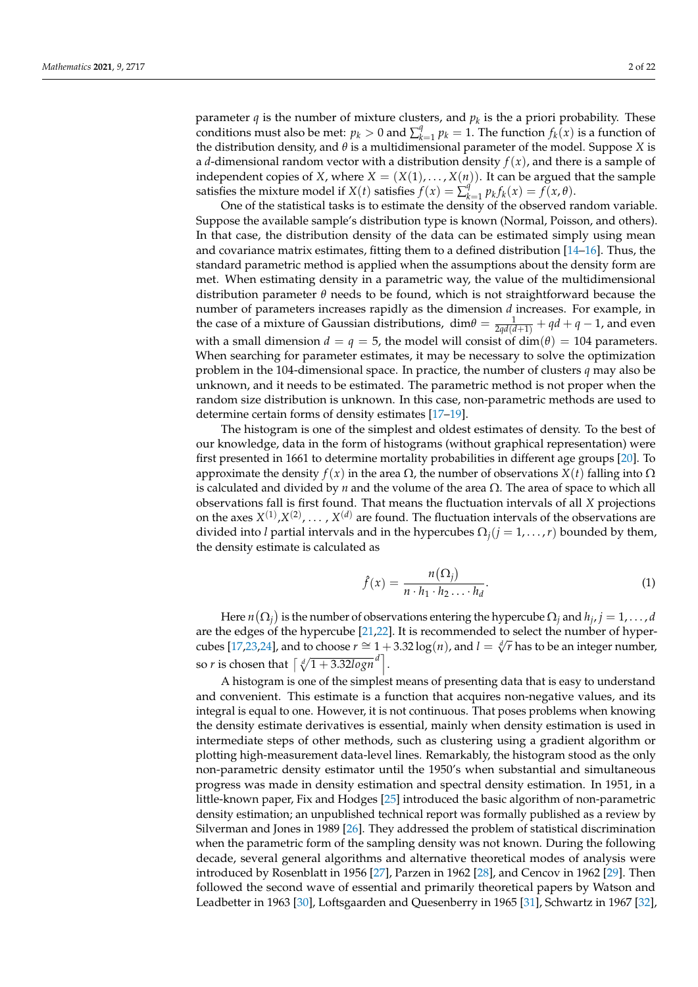parameter  $q$  is the number of mixture clusters, and  $p_k$  is the a priori probability. These conditions must also be met:  $p_k > 0$  and  $\sum_k^q$  $p_k = 1$ . The function  $f_k(x)$  is a function of the distribution density, and *θ* is a multidimensional parameter of the model. Suppose *X* is a *d*-dimensional random vector with a distribution density  $f(x)$ , and there is a sample of independent copies of *X*, where  $X = (X(1), \ldots, X(n))$ . It can be argued that the sample satisfies the mixture model if *X*(*t*) satisfies  $f(x) = \sum_{k=0}^{q}$  $p_{k=1}^{q} p_k f_k(x) = f(x, \theta).$ 

One of the statistical tasks is to estimate the density of the observed random variable. Suppose the available sample's distribution type is known (Normal, Poisson, and others). In that case, the distribution density of the data can be estimated simply using mean and covariance matrix estimates, fitting them to a defined distribution [\[14–](#page-19-12)[16\]](#page-19-13). Thus, the standard parametric method is applied when the assumptions about the density form are met. When estimating density in a parametric way, the value of the multidimensional distribution parameter *θ* needs to be found, which is not straightforward because the number of parameters increases rapidly as the dimension *d* increases. For example, in the case of a mixture of Gaussian distributions,  $dim \theta = \frac{1}{2qd(d+1)} + qd + q - 1$ , and even with a small dimension  $d = q = 5$ , the model will consist of  $\dim(\theta) = 104$  parameters. When searching for parameter estimates, it may be necessary to solve the optimization problem in the 104-dimensional space. In practice, the number of clusters *q* may also be unknown, and it needs to be estimated. The parametric method is not proper when the random size distribution is unknown. In this case, non-parametric methods are used to determine certain forms of density estimates [\[17–](#page-19-14)[19\]](#page-19-15).

The histogram is one of the simplest and oldest estimates of density. To the best of our knowledge, data in the form of histograms (without graphical representation) were first presented in 1661 to determine mortality probabilities in different age groups [\[20\]](#page-19-16). To approximate the density  $f(x)$  in the area  $\Omega$ , the number of observations  $X(t)$  falling into  $\Omega$ is calculated and divided by *n* and the volume of the area  $\Omega$ . The area of space to which all observations fall is first found. That means the fluctuation intervals of all *X* projections on the axes  $X^{(1)}, X^{(2)}, \ldots, X^{(d)}$  are found. The fluctuation intervals of the observations are divided into *l* partial intervals and in the hypercubes  $\Omega_i$  ( $j = 1, \ldots, r$ ) bounded by them, the density estimate is calculated as

$$
\hat{f}(x) = \frac{n(\Omega_j)}{n \cdot h_1 \cdot h_2 \cdot \ldots \cdot h_d}.\tag{1}
$$

Here  $n(\Omega_j)$  is the number of observations entering the hypercube  $\Omega_j$  and  $h_j$ ,  $j=1,\ldots,d$ are the edges of the hypercube [\[21](#page-19-17)[,22\]](#page-19-18). It is recommended to select the number of hyper-<br>cubes [17.23.24], and to choose  $r \approx 1 + 3.32 \log(n)$ , and  $l = \sqrt[d]{r}$  has to be an integer number cubes [\[17,](#page-19-14)[23,](#page-19-19)[24\]](#page-19-20), and to choose  $r \cong 1 + 3.32 \log(n)$ , and  $l = \sqrt[d]{r}$  has to be an integer number, so *r* is chosen that  $\left[\sqrt[d]{1 + 3.32logn}^d\right]$ .

A histogram is one of the simplest means of presenting data that is easy to understand and convenient. This estimate is a function that acquires non-negative values, and its integral is equal to one. However, it is not continuous. That poses problems when knowing the density estimate derivatives is essential, mainly when density estimation is used in intermediate steps of other methods, such as clustering using a gradient algorithm or plotting high-measurement data-level lines. Remarkably, the histogram stood as the only non-parametric density estimator until the 1950's when substantial and simultaneous progress was made in density estimation and spectral density estimation. In 1951, in a little-known paper, Fix and Hodges [\[25\]](#page-19-21) introduced the basic algorithm of non-parametric density estimation; an unpublished technical report was formally published as a review by Silverman and Jones in 1989 [\[26\]](#page-20-0). They addressed the problem of statistical discrimination when the parametric form of the sampling density was not known. During the following decade, several general algorithms and alternative theoretical modes of analysis were introduced by Rosenblatt in 1956 [\[27\]](#page-20-1), Parzen in 1962 [\[28\]](#page-20-2), and Cencov in 1962 [\[29\]](#page-20-3). Then followed the second wave of essential and primarily theoretical papers by Watson and Leadbetter in 1963 [\[30\]](#page-20-4), Loftsgaarden and Quesenberry in 1965 [\[31\]](#page-20-5), Schwartz in 1967 [\[32\]](#page-20-6),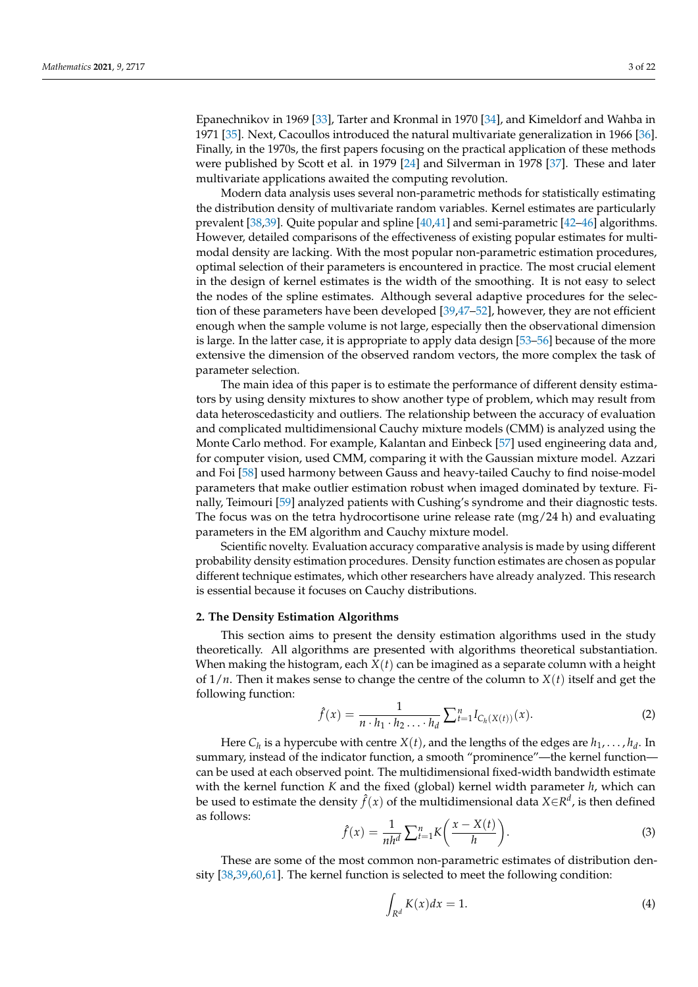Epanechnikov in 1969 [\[33\]](#page-20-7), Tarter and Kronmal in 1970 [\[34\]](#page-20-8), and Kimeldorf and Wahba in 1971 [\[35\]](#page-20-9). Next, Cacoullos introduced the natural multivariate generalization in 1966 [\[36\]](#page-20-10). Finally, in the 1970s, the first papers focusing on the practical application of these methods were published by Scott et al. in 1979 [\[24\]](#page-19-20) and Silverman in 1978 [\[37\]](#page-20-11). These and later multivariate applications awaited the computing revolution.

Modern data analysis uses several non-parametric methods for statistically estimating the distribution density of multivariate random variables. Kernel estimates are particularly prevalent [\[38](#page-20-12)[,39\]](#page-20-13). Quite popular and spline [\[40](#page-20-14)[,41\]](#page-20-15) and semi-parametric [\[42](#page-20-16)[–46\]](#page-20-17) algorithms. However, detailed comparisons of the effectiveness of existing popular estimates for multimodal density are lacking. With the most popular non-parametric estimation procedures, optimal selection of their parameters is encountered in practice. The most crucial element in the design of kernel estimates is the width of the smoothing. It is not easy to select the nodes of the spline estimates. Although several adaptive procedures for the selection of these parameters have been developed [\[39](#page-20-13)[,47–](#page-20-18)[52\]](#page-20-19), however, they are not efficient enough when the sample volume is not large, especially then the observational dimension is large. In the latter case, it is appropriate to apply data design [\[53](#page-20-20)[–56\]](#page-20-21) because of the more extensive the dimension of the observed random vectors, the more complex the task of parameter selection.

The main idea of this paper is to estimate the performance of different density estimators by using density mixtures to show another type of problem, which may result from data heteroscedasticity and outliers. The relationship between the accuracy of evaluation and complicated multidimensional Cauchy mixture models (CMM) is analyzed using the Monte Carlo method. For example, Kalantan and Einbeck [\[57\]](#page-20-22) used engineering data and, for computer vision, used CMM, comparing it with the Gaussian mixture model. Azzari and Foi [\[58\]](#page-20-23) used harmony between Gauss and heavy-tailed Cauchy to find noise-model parameters that make outlier estimation robust when imaged dominated by texture. Finally, Teimouri [\[59\]](#page-20-24) analyzed patients with Cushing's syndrome and their diagnostic tests. The focus was on the tetra hydrocortisone urine release rate  $(mg/24 h)$  and evaluating parameters in the EM algorithm and Cauchy mixture model.

Scientific novelty. Evaluation accuracy comparative analysis is made by using different probability density estimation procedures. Density function estimates are chosen as popular different technique estimates, which other researchers have already analyzed. This research is essential because it focuses on Cauchy distributions.

## **2. The Density Estimation Algorithms**

This section aims to present the density estimation algorithms used in the study theoretically. All algorithms are presented with algorithms theoretical substantiation. When making the histogram, each *X*(*t*) can be imagined as a separate column with a height of 1/*n*. Then it makes sense to change the centre of the column to *X*(*t*) itself and get the following function:

$$
\hat{f}(x) = \frac{1}{n \cdot h_1 \cdot h_2 \cdot \ldots \cdot h_d} \sum_{t=1}^n I_{C_h(X(t))}(x).
$$
 (2)

Here  $C_h$  is a hypercube with centre  $X(t)$ , and the lengths of the edges are  $h_1, \ldots, h_d$ . In summary, instead of the indicator function, a smooth "prominence"—the kernel function can be used at each observed point. The multidimensional fixed-width bandwidth estimate with the kernel function *K* and the fixed (global) kernel width parameter *h*, which can be used to estimate the density  $\hat{f}(x)$  of the multidimensional data  $X {\in} \mathcal{R}^d$ , is then defined as follows:

$$
\hat{f}(x) = \frac{1}{nh^d} \sum_{t=1}^n K\left(\frac{x - X(t)}{h}\right).
$$
\n(3)

These are some of the most common non-parametric estimates of distribution density [\[38](#page-20-12)[,39](#page-20-13)[,60](#page-20-25)[,61\]](#page-20-26). The kernel function is selected to meet the following condition:

$$
\int_{R^d} K(x)dx = 1.
$$
\n(4)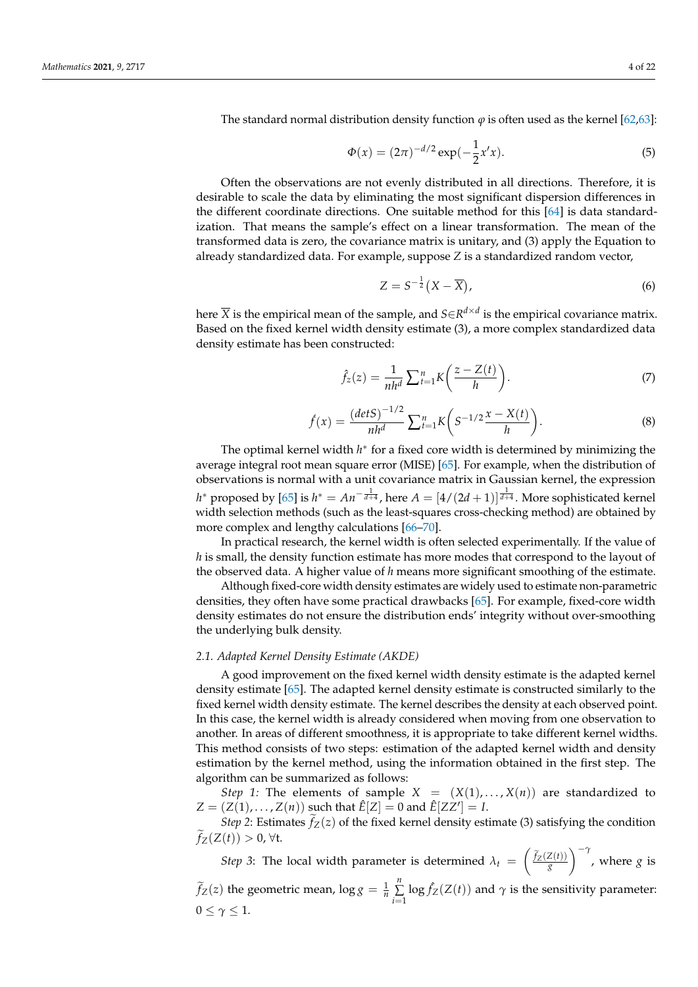The standard normal distribution density function  $\varphi$  is often used as the kernel [\[62](#page-20-27)[,63\]](#page-20-28):

$$
\Phi(x) = (2\pi)^{-d/2} \exp(-\frac{1}{2}x'x). \tag{5}
$$

Often the observations are not evenly distributed in all directions. Therefore, it is desirable to scale the data by eliminating the most significant dispersion differences in the different coordinate directions. One suitable method for this [\[64\]](#page-21-0) is data standardization. That means the sample's effect on a linear transformation. The mean of the transformed data is zero, the covariance matrix is unitary, and (3) apply the Equation to already standardized data. For example, suppose *Z* is a standardized random vector,

$$
Z = S^{-\frac{1}{2}}(X - \overline{X}),\tag{6}
$$

here  $\overline{X}$  is the empirical mean of the sample, and  $S{\in}R^{d\times d}$  is the empirical covariance matrix. Based on the fixed kernel width density estimate (3), a more complex standardized data density estimate has been constructed:

$$
\hat{f}_z(z) = \frac{1}{nh^d} \sum_{t=1}^n K\left(\frac{z - Z(t)}{h}\right).
$$
\n(7)

$$
\hat{f}(x) = \frac{(det S)^{-1/2}}{nh^d} \sum_{t=1}^n K\left(S^{-1/2} \frac{x - X(t)}{h}\right).
$$
 (8)

The optimal kernel width *h*<sup>∗</sup> for a fixed core width is determined by minimizing the average integral root mean square error (MISE) [\[65\]](#page-21-1). For example, when the distribution of observations is normal with a unit covariance matrix in Gaussian kernel, the expression  $h^*$  proposed by [\[65\]](#page-21-1) is  $h^* = An^{-\frac{1}{d+4}}$ , here  $A = [4/(2d+1)]^{\frac{1}{d+4}}$ . More sophisticated kernel width selection methods (such as the least-squares cross-checking method) are obtained by more complex and lengthy calculations [\[66–](#page-21-2)[70\]](#page-21-3).

In practical research, the kernel width is often selected experimentally. If the value of *h* is small, the density function estimate has more modes that correspond to the layout of the observed data. A higher value of *h* means more significant smoothing of the estimate.

Although fixed-core width density estimates are widely used to estimate non-parametric densities, they often have some practical drawbacks [\[65\]](#page-21-1). For example, fixed-core width density estimates do not ensure the distribution ends' integrity without over-smoothing the underlying bulk density.

## *2.1. Adapted Kernel Density Estimate (AKDE)*

A good improvement on the fixed kernel width density estimate is the adapted kernel density estimate [\[65\]](#page-21-1). The adapted kernel density estimate is constructed similarly to the fixed kernel width density estimate. The kernel describes the density at each observed point. In this case, the kernel width is already considered when moving from one observation to another. In areas of different smoothness, it is appropriate to take different kernel widths. This method consists of two steps: estimation of the adapted kernel width and density estimation by the kernel method, using the information obtained in the first step. The algorithm can be summarized as follows:

*Step 1:* The elements of sample  $X = (X(1),...,X(n))$  are standardized to  $Z = (Z(1), \ldots, Z(n))$  such that  $\hat{E}[Z] = 0$  and  $\hat{E}[ZZ'] = I$ .

*Step* 2: Estimates  $f_Z(z)$  of the fixed kernel density estimate (3) satisfying the condition  $f_Z(Z(t)) > 0$ ,  $\forall t$ .

*Step 3*: The local width parameter is determined  $\lambda_t = \begin{pmatrix} \tilde{f}_Z(Z(t)) & g \\ g & g \end{pmatrix}$  $\int_{-\infty}^{-\gamma}$ , where *g* is

 $\widetilde{f}_Z(z)$  the geometric mean,  $\log g = \frac{1}{n}$ *n* ∑ *i*=1  $\log \hat{f}_Z(Z(t))$  and  $\gamma$  is the sensitivity parameter:  $0 \leq \gamma \leq 1$ .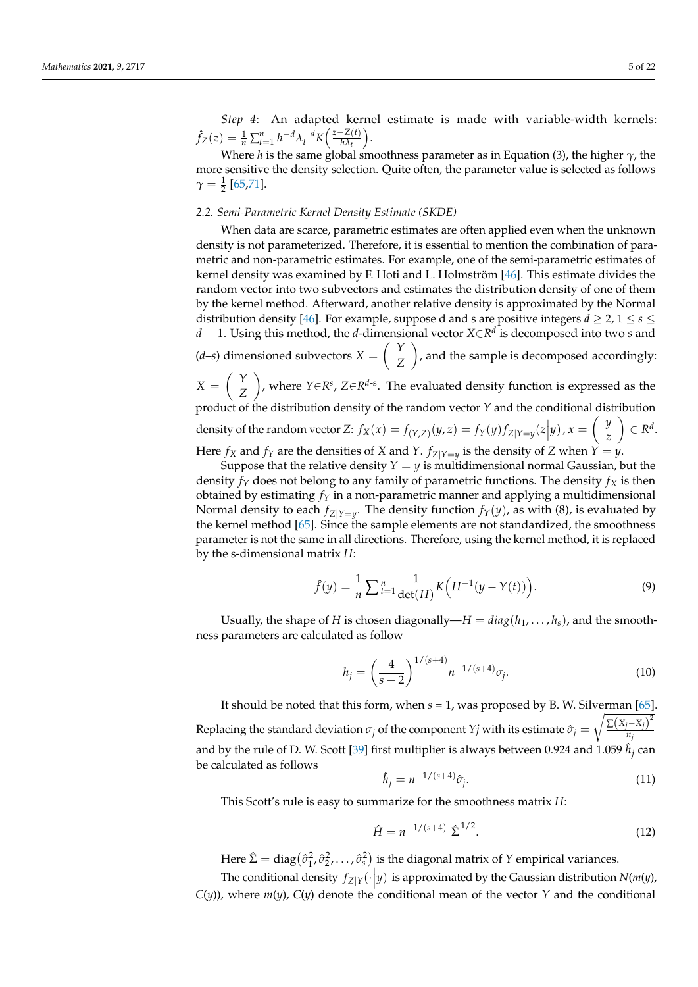*Step 4*: An adapted kernel estimate is made with variable-width kernels:  $\hat{f}_Z(z) = \frac{1}{n} \sum_{t=1}^n h^{-d} \lambda_t^{-d} K\left(\frac{z - Z(t)}{h \lambda_t}\right)$ *hλt* .

Where *h* is the same global smoothness parameter as in Equation (3), the higher  $\gamma$ , the more sensitive the density selection. Quite often, the parameter value is selected as follows  $\gamma = \frac{1}{2}$  [\[65](#page-21-1)[,71\]](#page-21-4).

# *2.2. Semi-Parametric Kernel Density Estimate (SKDE)*

When data are scarce, parametric estimates are often applied even when the unknown density is not parameterized. Therefore, it is essential to mention the combination of parametric and non-parametric estimates. For example, one of the semi-parametric estimates of kernel density was examined by F. Hoti and L. Holmström [\[46\]](#page-20-17). This estimate divides the random vector into two subvectors and estimates the distribution density of one of them by the kernel method. Afterward, another relative density is approximated by the Normal distribution density [\[46\]](#page-20-17). For example, suppose d and s are positive integers  $d \geq 2$ ,  $1 \leq s \leq$ *d* − 1. Using this method, the *d*-dimensional vector *X*∈*R d* is decomposed into two *s* and (*d*–*s*) dimensioned subvectors  $X = \begin{pmatrix} Y \\ Z \end{pmatrix}$ *Z* , and the sample is decomposed accordingly:

 $X = \begin{pmatrix} Y \\ Z \end{pmatrix}$ *Z* ), where  $Y \in \mathbb{R}^s$ ,  $Z \in \mathbb{R}^{d-s}$ . The evaluated density function is expressed as the product of the distribution density of the random vector *Y* and the conditional distribution density of the random vector Z:  $f_X(x) = f_{(Y,Z)}(y,z) = f_Y(y)f_{Z|Y=y}(z|y)$ ,  $x = \begin{pmatrix} y \\ z \end{pmatrix}$ *z*  $\Big) \in R^d.$ Here  $f_X$  and  $f_Y$  are the densities of *X* and *Y*.  $f_{Z|Y=y}$  is the density of *Z* when  $Y = y$ .

Suppose that the relative density  $Y = y$  is multidimensional normal Gaussian, but the density  $f_Y$  does not belong to any family of parametric functions. The density  $f_X$  is then obtained by estimating  $f_Y$  in a non-parametric manner and applying a multidimensional Normal density to each  $f_{Z|Y=y}$ . The density function  $f_Y(y)$ , as with (8), is evaluated by the kernel method [\[65\]](#page-21-1). Since the sample elements are not standardized, the smoothness parameter is not the same in all directions. Therefore, using the kernel method, it is replaced by the s-dimensional matrix *H*:

$$
\hat{f}(y) = \frac{1}{n} \sum_{t=1}^{n} \frac{1}{\det(H)} K\Big(H^{-1}(y - Y(t))\Big).
$$
 (9)

Usually, the shape of *H* is chosen diagonally—*H* =  $diag(h_1, \ldots, h_s)$ , and the smoothness parameters are calculated as follow

$$
h_j = \left(\frac{4}{s+2}\right)^{1/(s+4)} n^{-1/(s+4)} \sigma_j.
$$
 (10)

It should be noted that this form, when  $s = 1$ , was proposed by B. W. Silverman [\[65\]](#page-21-1). Replacing the standard deviation  $\sigma_j$  of the component *Yj* with its estimate  $\hat{\sigma}_j$  =  $\sqrt{\sum (X_i - \overline{X_i})^2}$ *nj* and by the rule of D. W. Scott [\[39\]](#page-20-13) first multiplier is always between 0.924 and 1.059  $\hat{h}_i$  can be calculated as follows

$$
\hat{h}_j = n^{-1/(s+4)} \hat{\sigma}_j. \tag{11}
$$

This Scott's rule is easy to summarize for the smoothness matrix *H*:

$$
\hat{H} = n^{-1/(s+4)} \hat{\Sigma}^{1/2}.
$$
\n(12)

Here  $\hat{\Sigma} = \text{diag}(\hat{\sigma}_1^2, \hat{\sigma}_2^2, \dots, \hat{\sigma}_s^2)$  is the diagonal matrix of *Y* empirical variances.

The conditional density  $f_{Z|Y}(\cdot|y)$  is approximated by the Gaussian distribution *N*(*m*(*y*),  $C(y)$ ), where  $m(y)$ ,  $C(y)$  denote the conditional mean of the vector *Y* and the conditional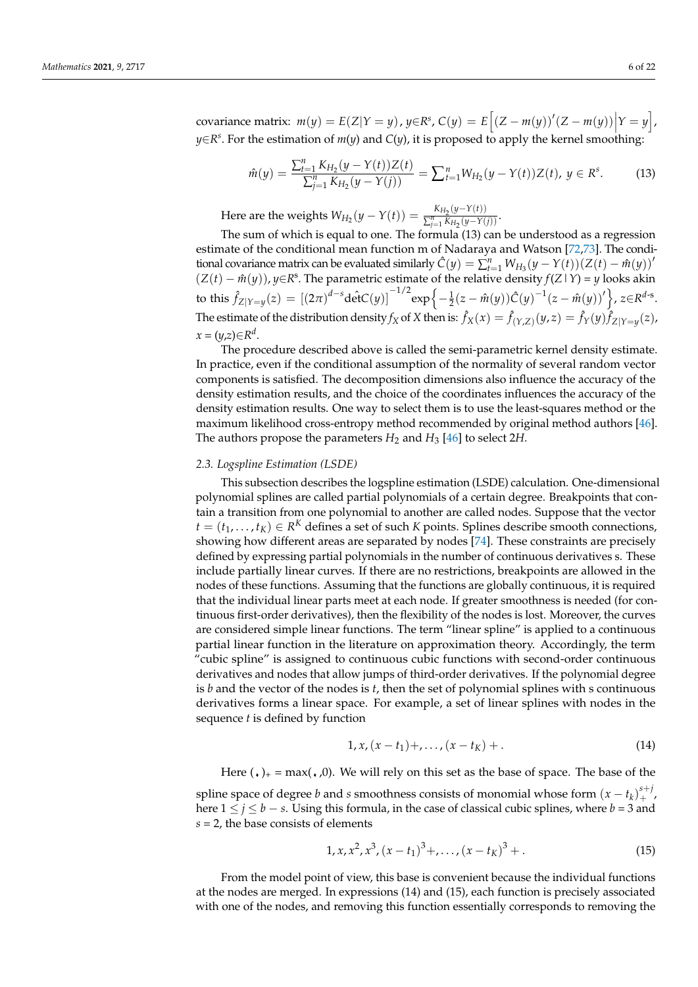covariance matrix:  $m(y) = E(Z|Y=y)$  ,  $y \in R^s$ ,  $C(y) = E\Big[(Z-m(y))'(Z-m(y))\Big|Y=y\Big]$  ,  $y \in R^s$ . For the estimation of *m*(*y*) and *C*(*y*), it is proposed to apply the kernel smoothing:

$$
\hat{m}(y) = \frac{\sum_{t=1}^{n} K_{H_2}(y - Y(t))Z(t)}{\sum_{j=1}^{n} K_{H_2}(y - Y(j))} = \sum_{t=1}^{n} W_{H_2}(y - Y(t))Z(t), y \in \mathbb{R}^s.
$$
 (13)

Here are the weights  $W_{H_2}(y - Y(t)) = \frac{K_{H_2}(y - Y(t))}{\sum_{i=1}^n K_{H_3}(y - Y(t))}$  $\frac{n_1}{\sum_{j=1}^n K_{H_2}(y-Y(j))}$ .

The sum of which is equal to one. The formula (13) can be understood as a regression estimate of the conditional mean function m of Nadaraya and Watson [\[72,](#page-21-5)[73\]](#page-21-6). The conditional covariance matrix can be evaluated similarly  $\hat{C}(y) = \sum_{t=1}^{n} W_{H_3}(y - Y(t))(Z(t) - \hat{m}(y))'$  $(Z(t) - \hat{m}(y))$ , *y*∈*R*<sup>s</sup>. The parametric estimate of the relative density *f*(*Z* | *Y*) = *y* looks akin to this  $\hat{f}_{Z|Y=y}(z) = [(2\pi)^{d-s} \hat{\det}(y)]^{-1/2} \exp \left\{-\frac{1}{2}(z-\hat{m}(y))\hat{C}(y)^{-1}(z-\hat{m}(y))'\right\}$ ,  $z \in \mathbb{R}^{d-s}$ . The estimate of the distribution density  $f_X$  of X then is:  $\hat{f}_X(x) = \hat{f}_{(Y,Z)}(y,z) = \hat{f}_Y(y)\hat{f}_{Z|Y=y}(z)$ ,  $x = (y,z) \in \mathbb{R}^d$ .

The procedure described above is called the semi-parametric kernel density estimate. In practice, even if the conditional assumption of the normality of several random vector components is satisfied. The decomposition dimensions also influence the accuracy of the density estimation results, and the choice of the coordinates influences the accuracy of the density estimation results. One way to select them is to use the least-squares method or the maximum likelihood cross-entropy method recommended by original method authors [\[46\]](#page-20-17). The authors propose the parameters  $H_2$  and  $H_3$  [\[46\]](#page-20-17) to select 2*H*.

#### *2.3. Logspline Estimation (LSDE)*

This subsection describes the logspline estimation (LSDE) calculation. One-dimensional polynomial splines are called partial polynomials of a certain degree. Breakpoints that contain a transition from one polynomial to another are called nodes. Suppose that the vector  $t = (t_1, \ldots, t_K) \in R^K$  defines a set of such *K* points. Splines describe smooth connections, showing how different areas are separated by nodes [\[74\]](#page-21-7). These constraints are precisely defined by expressing partial polynomials in the number of continuous derivatives s. These include partially linear curves. If there are no restrictions, breakpoints are allowed in the nodes of these functions. Assuming that the functions are globally continuous, it is required that the individual linear parts meet at each node. If greater smoothness is needed (for continuous first-order derivatives), then the flexibility of the nodes is lost. Moreover, the curves are considered simple linear functions. The term "linear spline" is applied to a continuous partial linear function in the literature on approximation theory. Accordingly, the term "cubic spline" is assigned to continuous cubic functions with second-order continuous derivatives and nodes that allow jumps of third-order derivatives. If the polynomial degree is *b* and the vector of the nodes is *t*, then the set of polynomial splines with s continuous derivatives forms a linear space. For example, a set of linear splines with nodes in the sequence *t* is defined by function

$$
1, x, (x - t_1) +, \ldots, (x - t_K) + . \tag{14}
$$

Here  $(\cdot)_+$  = max $(\cdot,0)$ . We will rely on this set as the base of space. The base of the

spline space of degree *b* and *s* smoothness consists of monomial whose form  $(x - t_k)_+^{s+j}$ , here  $1 \le j \le b - s$ . Using this formula, in the case of classical cubic splines, where  $b = 3$  and *s* = 2, the base consists of elements

$$
1, x, x2, x3, (x - t1)3 +, ..., (x - tK)3 +.
$$
 (15)

From the model point of view, this base is convenient because the individual functions at the nodes are merged. In expressions (14) and (15), each function is precisely associated with one of the nodes, and removing this function essentially corresponds to removing the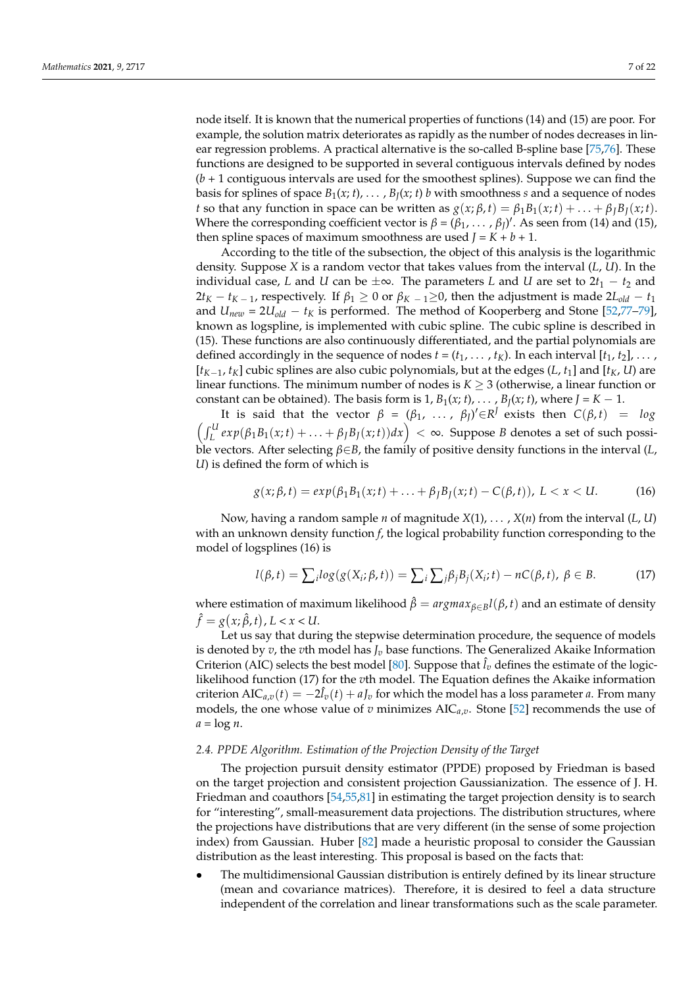node itself. It is known that the numerical properties of functions (14) and (15) are poor. For example, the solution matrix deteriorates as rapidly as the number of nodes decreases in linear regression problems. A practical alternative is the so-called B-spline base [\[75](#page-21-8)[,76\]](#page-21-9). These functions are designed to be supported in several contiguous intervals defined by nodes  $(b + 1)$  contiguous intervals are used for the smoothest splines). Suppose we can find the basis for splines of space *B*1(*x*; *t*), . . . , *B<sup>J</sup>* (*x*; *t*) *b* with smoothness *s* and a sequence of nodes *t* so that any function in space can be written as  $g(x; \beta, t) = \beta_1 B_1(x; t) + \ldots + \beta_I B_I(x; t)$ . Where the corresponding coefficient vector is  $\beta = (\beta_1, \ldots, \beta_l)'$ . As seen from (14) and (15), then spline spaces of maximum smoothness are used  $J = K + b + 1$ .

According to the title of the subsection, the object of this analysis is the logarithmic density. Suppose *X* is a random vector that takes values from the interval (*L*, *U*). In the individual case, *L* and *U* can be  $\pm \infty$ . The parameters *L* and *U* are set to  $2t_1 - t_2$  and  $2t_K - t_{K-1}$ , respectively. If  $\beta_1 \geq 0$  or  $\beta_{K-1} \geq 0$ , then the adjustment is made  $2L_{old} - t_1$ and *Unew* = 2*Uold* − *t<sup>K</sup>* is performed. The method of Kooperberg and Stone [\[52,](#page-20-19)[77–](#page-21-10)[79\]](#page-21-11), known as logspline, is implemented with cubic spline. The cubic spline is described in (15). These functions are also continuously differentiated, and the partial polynomials are defined accordingly in the sequence of nodes  $t = (t_1, \ldots, t_K)$ . In each interval  $[t_1, t_2], \ldots$ ,  $[t_{K-1}, t_K]$  cubic splines are also cubic polynomials, but at the edges  $(L, t_1]$  and  $[t_K, U)$  are linear functions. The minimum number of nodes is  $K \geq 3$  (otherwise, a linear function or constant can be obtained). The basis form is 1,  $B_1(x; t)$ , ...,  $B_J(x; t)$ , where  $J = K - 1$ .

It is said that the vector  $β = (β_1, …, β_J)' ∈ R<sup>J</sup>$  exists then  $C(β, t) = log$  $\left(\int_L^U exp(\beta_1 B_1(x; t) + \ldots + \beta_J B_J(x; t))dx\right) < \infty$ . Suppose *B* denotes a set of such possible vectors. After selecting *β*∈*B*, the family of positive density functions in the interval (*L*, *U*) is defined the form of which is

$$
g(x; \beta, t) = exp(\beta_1 B_1(x; t) + ... + \beta_J B_J(x; t) - C(\beta, t)), L < x < U.
$$
 (16)

Now, having a random sample *n* of magnitude *X*(1), . . . , *X*(*n*) from the interval (*L*, *U*) with an unknown density function *f*, the logical probability function corresponding to the model of logsplines (16) is

$$
l(\beta, t) = \sum_{i} log(g(X_i; \beta, t)) = \sum_{i} \sum_{j} \beta_j B_j(X_i; t) - nC(\beta, t), \ \beta \in B. \tag{17}
$$

where estimation of maximum likelihood  $\hat{\beta} = argmax_{\beta \in B} l(\beta, t)$  and an estimate of density  $\hat{f} = g(x; \hat{\beta}, t)$ ,  $L < x < U$ .

Let us say that during the stepwise determination procedure, the sequence of models is denoted by  $v$ , the  $v$ th model has  $J_v$  base functions. The Generalized Akaike Information Criterion (AIC) selects the best model [\[80\]](#page-21-12). Suppose that  $\hat{l}_v$  defines the estimate of the logiclikelihood function (17) for the *v*th model. The Equation defines the Akaike information criterion  $AIC_{a,v}(t) = -2\hat{l}_v(t) + aJ_v$  for which the model has a loss parameter *a*. From many models, the one whose value of *v* minimizes AIC*a*,*v*. Stone [\[52\]](#page-20-19) recommends the use of  $a = \log n$ .

# *2.4. PPDE Algorithm. Estimation of the Projection Density of the Target*

The projection pursuit density estimator (PPDE) proposed by Friedman is based on the target projection and consistent projection Gaussianization. The essence of J. H. Friedman and coauthors [\[54,](#page-20-29)[55](#page-20-30)[,81\]](#page-21-13) in estimating the target projection density is to search for "interesting", small-measurement data projections. The distribution structures, where the projections have distributions that are very different (in the sense of some projection index) from Gaussian. Huber [\[82\]](#page-21-14) made a heuristic proposal to consider the Gaussian distribution as the least interesting. This proposal is based on the facts that:

• The multidimensional Gaussian distribution is entirely defined by its linear structure (mean and covariance matrices). Therefore, it is desired to feel a data structure independent of the correlation and linear transformations such as the scale parameter.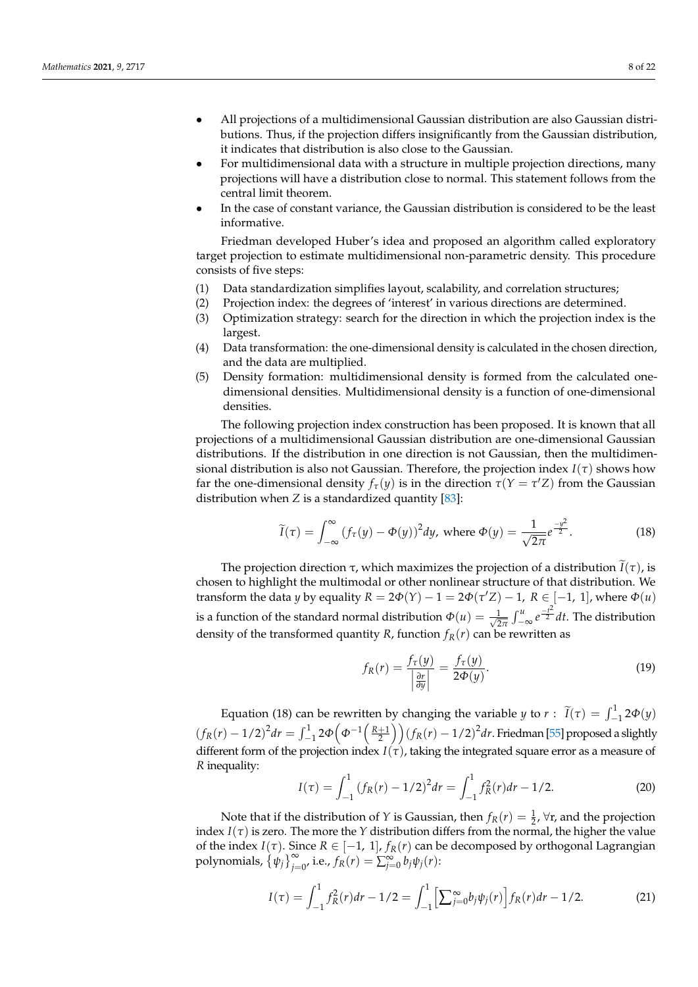- All projections of a multidimensional Gaussian distribution are also Gaussian distributions. Thus, if the projection differs insignificantly from the Gaussian distribution, it indicates that distribution is also close to the Gaussian.
- For multidimensional data with a structure in multiple projection directions, many projections will have a distribution close to normal. This statement follows from the central limit theorem.
- In the case of constant variance, the Gaussian distribution is considered to be the least informative.

Friedman developed Huber's idea and proposed an algorithm called exploratory target projection to estimate multidimensional non-parametric density. This procedure consists of five steps:

- (1) Data standardization simplifies layout, scalability, and correlation structures;
- (2) Projection index: the degrees of 'interest' in various directions are determined.
- (3) Optimization strategy: search for the direction in which the projection index is the largest.
- (4) Data transformation: the one-dimensional density is calculated in the chosen direction, and the data are multiplied.
- (5) Density formation: multidimensional density is formed from the calculated onedimensional densities. Multidimensional density is a function of one-dimensional densities.

The following projection index construction has been proposed. It is known that all projections of a multidimensional Gaussian distribution are one-dimensional Gaussian distributions. If the distribution in one direction is not Gaussian, then the multidimensional distribution is also not Gaussian. Therefore, the projection index  $I(\tau)$  shows how far the one-dimensional density  $f_\tau(y)$  is in the direction  $\tau(Y = \tau'Z)$  from the Gaussian distribution when *Z* is a standardized quantity [\[83\]](#page-21-15):

$$
\widetilde{I}(\tau) = \int_{-\infty}^{\infty} (f_{\tau}(y) - \Phi(y))^2 dy, \text{ where } \Phi(y) = \frac{1}{\sqrt{2\pi}} e^{\frac{-y^2}{2}}.
$$
 (18)

The projection direction τ, which maximizes the projection of a distribution  $\tilde{I}(\tau)$ , is chosen to highlight the multimodal or other nonlinear structure of that distribution. We transform the data *y* by equality  $R = 2\Phi(Y) - 1 = 2\Phi(\tau'Z) - 1$ ,  $R \in [-1, 1]$ , where  $\Phi(u)$ is a function of the standard normal distribution  $\Phi(u) = \frac{1}{\sqrt{2}}$  $\frac{1}{2\pi} \int_{-\infty}^{u} e^{\frac{-t^2}{2}} dt$ . The distribution density of the transformed quantity *R*, function  $f_R(r)$  can be rewritten as

$$
f_R(r) = \frac{f_\tau(y)}{\left|\frac{\partial r}{\partial y}\right|} = \frac{f_\tau(y)}{2\Phi(y)}.
$$
\n(19)

Equation (18) can be rewritten by changing the variable *y* to *r* :  $\tilde{I}(\tau) = \int_{-1}^{1} 2\Phi(y)$  $(f_R(r) - 1/2)^2 dr = \int_{-1}^1 2\Phi\left(\Phi^{-1}\left(\frac{R+1}{2}\right)\right) (f_R(r) - 1/2)^2 dr$ . Friedman [\[55\]](#page-20-30) proposed a slightly different form of the projection index *I*(*τ*), taking the integrated square error as a measure of *R* inequality:

$$
I(\tau) = \int_{-1}^{1} (f_R(r) - 1/2)^2 dr = \int_{-1}^{1} f_R^2(r) dr - 1/2.
$$
 (20)

Note that if the distribution of *Y* is Gaussian, then  $f_R(r) = \frac{1}{2}$ ,  $\forall$ r, and the projection index  $I(\tau)$  is zero. The more the *Y* distribution differs from the normal, the higher the value of the index *I*( $\tau$ ). Since *R* ∈ [-1, 1],  $f_R(r)$  can be decomposed by orthogonal Lagrangian polynomials,  $\{\psi_j\}_{j=0}^{\infty}$ , i.e.,  $f_R(r) = \sum_{j=0}^{\infty} b_j \psi_j(r)$ :

$$
I(\tau) = \int_{-1}^{1} f_R^2(r) dr - 1/2 = \int_{-1}^{1} \Big[ \sum_{j=0}^{\infty} b_j \psi_j(r) \Big] f_R(r) dr - 1/2.
$$
 (21)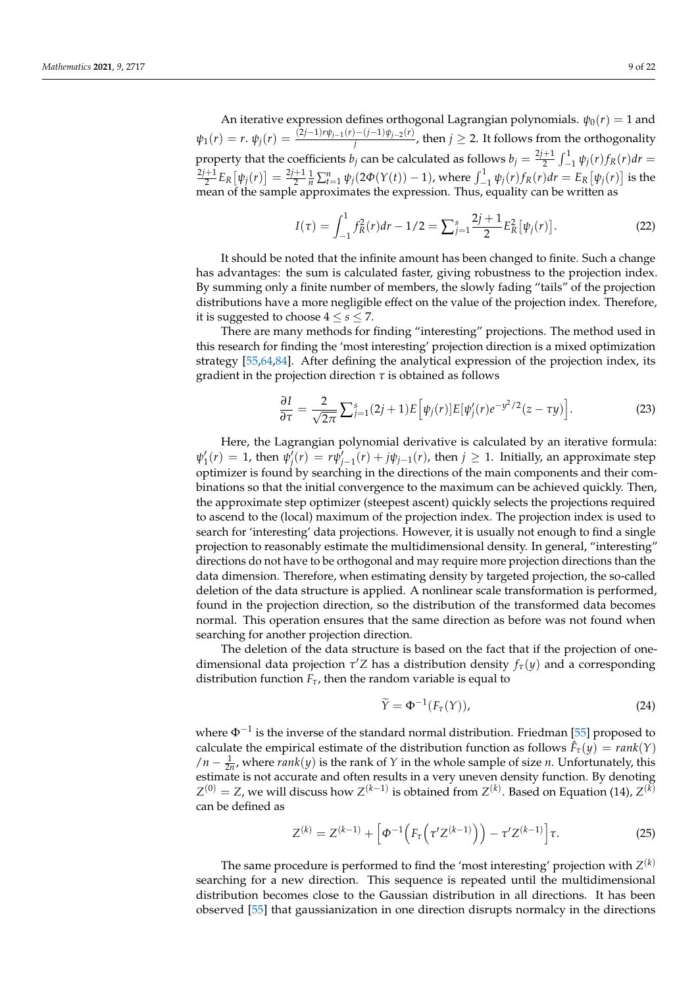An iterative expression defines orthogonal Lagrangian polynomials.  $\psi_0(r) = 1$  and  $\psi_1(r) = r$ .  $\psi_j(r) = \frac{(2j-1)r\psi_{j-1}(r) - (j-1)\psi_{j-2}(r)}{j}$  $\frac{f^-(f-1)\psi_{f-2}(r)}{f}$ , then  $f \geq 2$ . It follows from the orthogonality property that the coefficients  $b_j$  can be calculated as follows  $b_j = \frac{2j+1}{2}$  $\int_{-1}^{1} \int_{-1}^{1} \psi_j(r) f_R(r) dr =$ 2*j*+1  $\frac{1}{2}E_R[\psi_j(r)]=\frac{2j+1}{2}$  $\frac{1+1}{2}\frac{1}{n}\sum_{t=1}^n\psi_j(2\Phi(Y(t))-1)$ , where  $\int_{-1}^1\psi_j(r)f_R(r)dr=E_R\big[\psi_j(r)\big]$  is the mean of the sample approximates the expression. Thus, equality can be written as

$$
I(\tau) = \int_{-1}^{1} f_R^2(r) dr - 1/2 = \sum_{j=1}^{s} \frac{2j+1}{2} E_R^2 [\psi_j(r)].
$$
 (22)

It should be noted that the infinite amount has been changed to finite. Such a change has advantages: the sum is calculated faster, giving robustness to the projection index. By summing only a finite number of members, the slowly fading "tails" of the projection distributions have a more negligible effect on the value of the projection index. Therefore, it is suggested to choose  $4 \leq s \leq 7$ .

There are many methods for finding "interesting" projections. The method used in this research for finding the 'most interesting' projection direction is a mixed optimization strategy [\[55,](#page-20-30)[64,](#page-21-0)[84\]](#page-21-16). After defining the analytical expression of the projection index, its gradient in the projection direction *τ* is obtained as follows

$$
\frac{\partial I}{\partial \tau} = \frac{2}{\sqrt{2\pi}} \sum_{j=1}^{s} (2j+1) E\Big[\psi_j(r)] E[\psi_j'(r) e^{-y^2/2} (z - \tau y)\Big]. \tag{23}
$$

Here, the Lagrangian polynomial derivative is calculated by an iterative formula:  $\psi'_1(r) = 1$ , then  $\psi'_j(r) = r\psi'_{j-1}(r) + j\psi_{j-1}(r)$ , then  $j \ge 1$ . Initially, an approximate step optimizer is found by searching in the directions of the main components and their combinations so that the initial convergence to the maximum can be achieved quickly. Then, the approximate step optimizer (steepest ascent) quickly selects the projections required to ascend to the (local) maximum of the projection index. The projection index is used to search for 'interesting' data projections. However, it is usually not enough to find a single projection to reasonably estimate the multidimensional density. In general, "interesting" directions do not have to be orthogonal and may require more projection directions than the data dimension. Therefore, when estimating density by targeted projection, the so-called deletion of the data structure is applied. A nonlinear scale transformation is performed, found in the projection direction, so the distribution of the transformed data becomes normal. This operation ensures that the same direction as before was not found when searching for another projection direction.

The deletion of the data structure is based on the fact that if the projection of onedimensional data projection *τ'Z* has a distribution density  $f_\tau(y)$  and a corresponding distribution function  $F_{\tau}$ , then the random variable is equal to

$$
\widetilde{Y} = \Phi^{-1}(F_{\tau}(Y)),\tag{24}
$$

where  $\Phi^{-1}$  is the inverse of the standard normal distribution. Friedman [\[55\]](#page-20-30) proposed to calculate the empirical estimate of the distribution function as follows  $\hat{F}_{\tau}(y) = \text{rank}(Y)$  $/n - \frac{1}{2n}$ , where  $rank(y)$  is the rank of *Y* in the whole sample of size *n*. Unfortunately, this estimate is not accurate and often results in a very uneven density function. By denoting *Z*<sup>(0)</sup> = *Z*, we will discuss how *Z*<sup>(*k*−1)</sup> is obtained from *Z*<sup>(*k*)</sup>. Based on Equation (14), *Z*<sup>(*k*)</sup> can be defined as

$$
Z^{(k)} = Z^{(k-1)} + \left[\Phi^{-1}\Big(F_\tau\Big(\tau'Z^{(k-1)}\Big)\Big) - \tau'Z^{(k-1)}\right]\tau.
$$
 (25)

The same procedure is performed to find the 'most interesting' projection with  $Z^{(k)}$ searching for a new direction. This sequence is repeated until the multidimensional distribution becomes close to the Gaussian distribution in all directions. It has been observed [\[55\]](#page-20-30) that gaussianization in one direction disrupts normalcy in the directions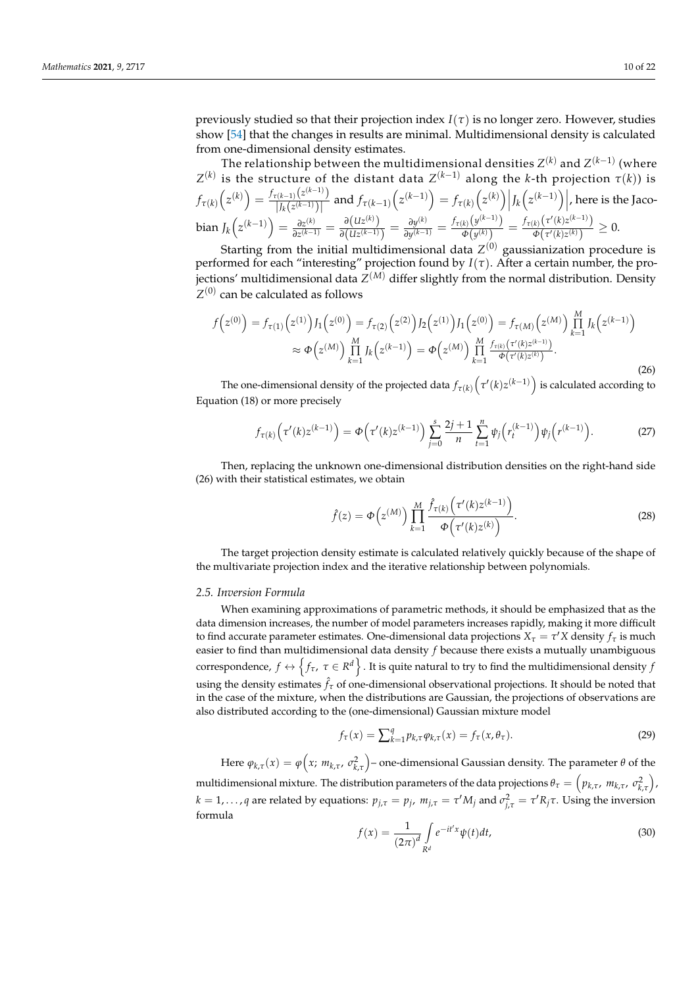previously studied so that their projection index  $I(\tau)$  is no longer zero. However, studies show [\[54\]](#page-20-29) that the changes in results are minimal. Multidimensional density is calculated from one-dimensional density estimates.

The relationship between the multidimensional densities 
$$
Z^{(k)}
$$
 and  $Z^{(k-1)}$  (where  $Z^{(k)}$  is the structure of the distant data  $Z^{(k-1)}$  along the *k*-th projection  $\tau(k)$ ) is 
$$
f_{\tau(k)}\left(z^{(k)}\right) = \frac{f_{\tau(k-1)}(z^{(k-1)})}{|I_k(z^{(k-1)})|}
$$
 and 
$$
f_{\tau(k-1)}\left(z^{(k-1)}\right) = f_{\tau(k)}\left(z^{(k)}\right) | I_k\left(z^{(k-1)}\right)|
$$
, here is the Jacobian 
$$
I_k\left(z^{(k-1)}\right) = \frac{\partial z^{(k)}}{\partial z^{(k-1)}} = \frac{\partial (Uz^{(k)})}{\partial (Uz^{(k-1)})} = \frac{\partial y^{(k)}}{\partial y^{(k-1)}} = \frac{f_{\tau(k)}(y^{(k-1)})}{\Phi(y^{(k)})} = \frac{f_{\tau(k)}(z^{(k)}z^{(k-1)})}{\Phi(z^{(k)}z^{(k)})} \ge 0.
$$

Starting from the initial multidimensional data  $Z^{(0)}$  gaussianization procedure is performed for each "interesting" projection found by  $I(\tau)$ . After a certain number, the projections' multidimensional data *Z* (*M*) differ slightly from the normal distribution. Density  $Z^{(0)}$  can be calculated as follows

$$
f(z^{(0)}) = f_{\tau(1)}(z^{(1)}) I_1(z^{(0)}) = f_{\tau(2)}(z^{(2)}) I_2(z^{(1)}) I_1(z^{(0)}) = f_{\tau(M)}(z^{(M)}) \prod_{k=1}^M I_k(z^{(k-1)})
$$
  

$$
\approx \Phi(z^{(M)}) \prod_{k=1}^M I_k(z^{(k-1)}) = \Phi(z^{(M)}) \prod_{k=1}^M \frac{f_{\tau(k)}(\tau'(k)z^{(k-1)})}{\Phi(\tau'(k)z^{(k)})}.
$$
(26)

The one-dimensional density of the projected data  $f_{\tau(k)}\left(\tau'(k)z^{(k-1)}\right)$  is calculated according to Equation (18) or more precisely

$$
f_{\tau(k)}\left(\tau'(k)z^{(k-1)}\right) = \Phi\left(\tau'(k)z^{(k-1)}\right) \sum_{j=0}^{s} \frac{2j+1}{n} \sum_{t=1}^{n} \psi_j\left(r_t^{(k-1)}\right) \psi_j\left(r^{(k-1)}\right). \tag{27}
$$

Then, replacing the unknown one-dimensional distribution densities on the right-hand side (26) with their statistical estimates, we obtain

$$
\hat{f}(z) = \Phi\left(z^{(M)}\right) \prod_{k=1}^{M} \frac{\hat{f}_{\tau(k)}\left(\tau'(k)z^{(k-1)}\right)}{\Phi\left(\tau'(k)z^{(k)}\right)}.
$$
\n(28)

The target projection density estimate is calculated relatively quickly because of the shape of the multivariate projection index and the iterative relationship between polynomials.

### *2.5. Inversion Formula*

When examining approximations of parametric methods, it should be emphasized that as the data dimension increases, the number of model parameters increases rapidly, making it more difficult to find accurate parameter estimates. One-dimensional data projections  $X_{\tau} = \tau' X$  density  $f_{\tau}$  is much easier to find than multidimensional data density *f* because there exists a mutually unambiguous correspondence,  $f \leftrightarrow \left\{f_{\tau}, \ \tau \in R^d\right\}$ . It is quite natural to try to find the multidimensional density  $f$ using the density estimates  $\hat{f}_{\tau}$  of one-dimensional observational projections. It should be noted that in the case of the mixture, when the distributions are Gaussian, the projections of observations are also distributed according to the (one-dimensional) Gaussian mixture model

$$
f_{\tau}(x) = \sum_{k=1}^{q} p_{k,\tau} \varphi_{k,\tau}(x) = f_{\tau}(x, \theta_{\tau}).
$$
 (29)

Here  $\varphi_{k,\tau}(x) = \varphi\left(x; m_{k,\tau}, \sigma_{k,\tau}^2\right)$  – one-dimensional Gaussian density. The parameter  $\theta$  of the multidimensional mixture. The distribution parameters of the data projections  $\theta_\tau = \left(p_{k,\tau}, m_{k,\tau}, \sigma_{k,\tau}^2\right)$ ,  $k=1,\ldots,q$  are related by equations:  $p_{j,\tau}=p_j$ ,  $m_{j,\tau}=\tau'M_j$  and  $\sigma_{j,\tau}^2=\tau'R_j\tau$ . Using the inversion formula

$$
f(x) = \frac{1}{(2\pi)^d} \int_{R^d} e^{-it'x} \psi(t) dt,
$$
\n(30)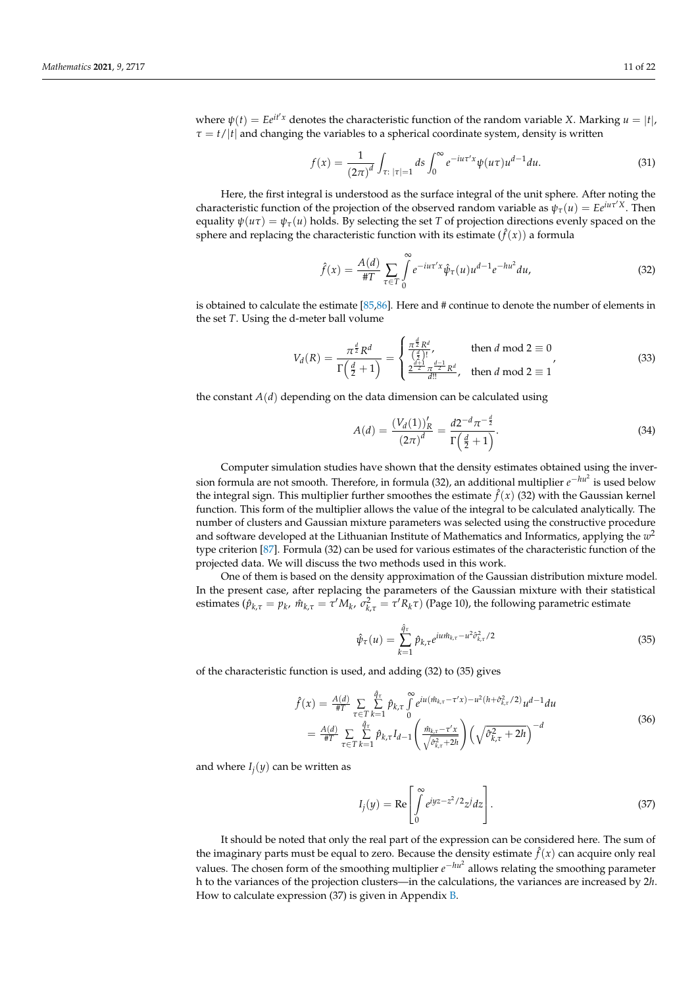where  $\psi(t) = Ee^{it/x}$  denotes the characteristic function of the random variable *X*. Marking  $u = |t|$ ,  $\tau = t/|t|$  and changing the variables to a spherical coordinate system, density is written

$$
f(x) = \frac{1}{(2\pi)^d} \int_{\tau: |\tau|=1} ds \int_0^{\infty} e^{-iu\tau'x} \psi(u\tau) u^{d-1} du.
$$
 (31)

Here, the first integral is understood as the surface integral of the unit sphere. After noting the characteristic function of the projection of the observed random variable as  $\psi_{\tau}(u) = E e^{iu\tau X}$ . Then equality  $\psi(u\tau) = \psi_{\tau}(u)$  holds. By selecting the set *T* of projection directions evenly spaced on the sphere and replacing the characteristic function with its estimate  $(\hat{f}(x))$  a formula

$$
\hat{f}(x) = \frac{A(d)}{\#T} \sum_{\tau \in T} \int_{0}^{\infty} e^{-iu\tau'x} \hat{\psi}_{\tau}(u) u^{d-1} e^{-hu^2} du,
$$
\n(32)

is obtained to calculate the estimate [\[85](#page-21-17)[,86\]](#page-21-18). Here and # continue to denote the number of elements in the set *T*. Using the d-meter ball volume

$$
V_d(R) = \frac{\pi^{\frac{d}{2}} R^d}{\Gamma(\frac{d}{2} + 1)} = \begin{cases} \frac{\pi^{\frac{d}{2}} R^d}{(\frac{d}{2})!}, & \text{then } d \text{ mod } 2 \equiv 0\\ \frac{2^{\frac{d+1}{2}} \pi^{\frac{d-1}{2}} R^d}{d!}, & \text{then } d \text{ mod } 2 \equiv 1 \end{cases}
$$
(33)

the constant  $A(d)$  depending on the data dimension can be calculated using

$$
A(d) = \frac{(V_d(1))_R'}{(2\pi)^d} = \frac{d2^{-d}\pi^{-\frac{d}{2}}}{\Gamma(\frac{d}{2}+1)}.
$$
\n(34)

Computer simulation studies have shown that the density estimates obtained using the inversion formula are not smooth. Therefore, in formula (32), an additional multiplier *e* −*hu*<sup>2</sup> is used below the integral sign. This multiplier further smoothes the estimate  $\hat{f}(x)$  (32) with the Gaussian kernel function. This form of the multiplier allows the value of the integral to be calculated analytically. The number of clusters and Gaussian mixture parameters was selected using the constructive procedure and software developed at the Lithuanian Institute of Mathematics and Informatics, applying the  $w^2$ type criterion [\[87\]](#page-21-19). Formula (32) can be used for various estimates of the characteristic function of the projected data. We will discuss the two methods used in this work.

One of them is based on the density approximation of the Gaussian distribution mixture model. In the present case, after replacing the parameters of the Gaussian mixture with their statistical estimates ( $\hat{p}_{k,\tau} = p_k$ ,  $\hat{m}_{k,\tau} = \tau' M_k$ ,  $\sigma_{k,\tau}^2 = \tau' R_k \tau$ ) (Page 10), the following parametric estimate

$$
\hat{\psi}_{\tau}(u) = \sum_{k=1}^{\hat{q}_{\tau}} \hat{p}_{k,\tau} e^{iu\hat{m}_{k,\tau} - u^2 \hat{\sigma}_{k,\tau}^2/2}
$$
\n(35)

of the characteristic function is used, and adding (32) to (35) gives

$$
\hat{f}(x) = \frac{A(d)}{\#T} \sum_{\tau \in T} \sum_{k=1}^{\hat{q}_{\tau}} \hat{p}_{k,\tau} \int_{0}^{\infty} e^{iu(\hat{m}_{k,\tau} - \tau' x) - u^2(h + \hat{\sigma}_{k,\tau}^2/2)} u^{d-1} du \n= \frac{A(d)}{\#T} \sum_{\tau \in T} \sum_{k=1}^{\hat{q}_{\tau}} \hat{p}_{k,\tau} I_{d-1} \left( \frac{\hat{m}_{k,\tau} - \tau' x}{\sqrt{\hat{\sigma}_{k,\tau}^2 + 2h}} \right) \left( \sqrt{\hat{\sigma}_{k,\tau}^2 + 2h} \right)^{-d}
$$
\n(36)

and where  $I_i(y)$  can be written as

$$
I_j(y) = \text{Re}\left[\int_0^\infty e^{iyz - z^2/2} z^j dz\right].\tag{37}
$$

It should be noted that only the real part of the expression can be considered here. The sum of the imaginary parts must be equal to zero. Because the density estimate  $\hat{f}(x)$  can acquire only real values. The chosen form of the smoothing multiplier *e* −*hu*<sup>2</sup> allows relating the smoothing parameter h to the variances of the projection clusters—in the calculations, the variances are increased by 2*h*. How to calculate expression  $(37)$  is given in Appendix [B.](#page-18-0)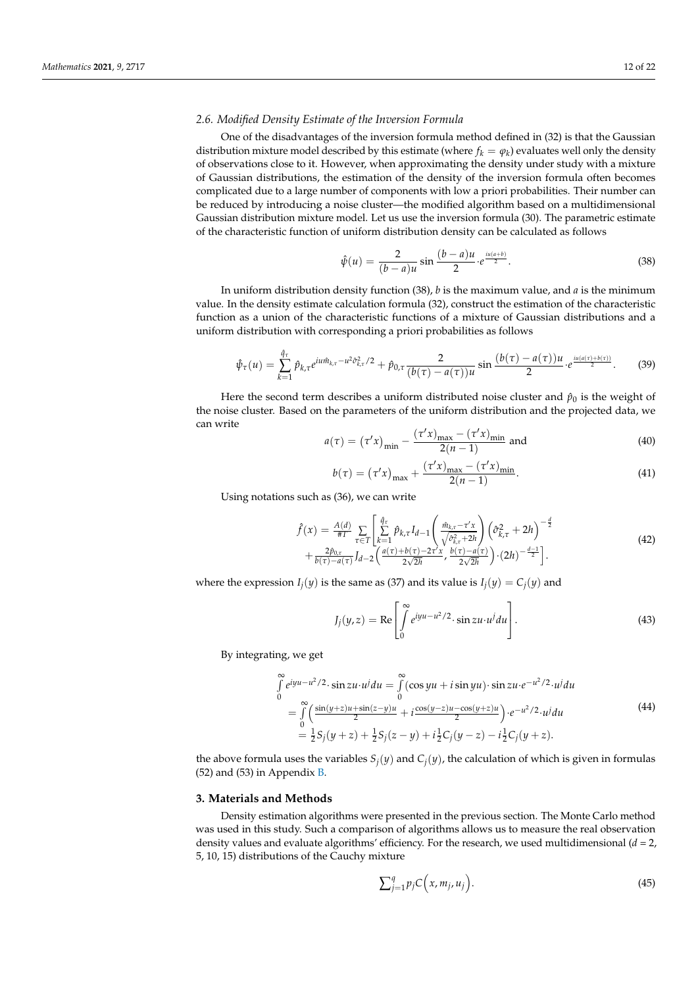# *2.6. Modified Density Estimate of the Inversion Formula*

One of the disadvantages of the inversion formula method defined in (32) is that the Gaussian distribution mixture model described by this estimate (where  $f_k = \varphi_k$ ) evaluates well only the density of observations close to it. However, when approximating the density under study with a mixture of Gaussian distributions, the estimation of the density of the inversion formula often becomes complicated due to a large number of components with low a priori probabilities. Their number can be reduced by introducing a noise cluster—the modified algorithm based on a multidimensional Gaussian distribution mixture model. Let us use the inversion formula (30). The parametric estimate of the characteristic function of uniform distribution density can be calculated as follows

$$
\hat{\psi}(u) = \frac{2}{(b-a)u} \sin \frac{(b-a)u}{2} \cdot e^{\frac{iu(a+b)}{2}}.
$$
\n(38)

In uniform distribution density function (38), *b* is the maximum value, and *a* is the minimum value. In the density estimate calculation formula (32), construct the estimation of the characteristic function as a union of the characteristic functions of a mixture of Gaussian distributions and a uniform distribution with corresponding a priori probabilities as follows

$$
\hat{\psi}_{\tau}(u) = \sum_{k=1}^{\hat{q}_{\tau}} \hat{p}_{k,\tau} e^{iu\hat{m}_{k,\tau} - u^2 \hat{\sigma}_{k,\tau}^2/2} + \hat{p}_{0,\tau} \frac{2}{(b(\tau) - a(\tau))u} \sin \frac{(b(\tau) - a(\tau))u}{2} \cdot e^{\frac{iu(a(\tau) + b(\tau))}{2}}.
$$
 (39)

Here the second term describes a uniform distributed noise cluster and  $\hat{p}_0$  is the weight of the noise cluster. Based on the parameters of the uniform distribution and the projected data, we can write

$$
a(\tau) = (\tau' x)_{\min} - \frac{(\tau' x)_{\max} - (\tau' x)_{\min}}{2(n-1)}
$$
 and (40)

$$
b(\tau) = (\tau' x)_{\text{max}} + \frac{(\tau' x)_{\text{max}} - (\tau' x)_{\text{min}}}{2(n-1)}.
$$
 (41)

Using notations such as (36), we can write

$$
\hat{f}(x) = \frac{A(d)}{\#T} \sum_{\tau \in T} \left[ \sum_{k=1}^{\hat{q}_{\tau}} \hat{p}_{k,\tau} I_{d-1} \left( \frac{\hat{m}_{k,\tau} - \tau' x}{\sqrt{\hat{\sigma}_{k,\tau}^2 + 2h}} \right) \left( \hat{\sigma}_{k,\tau}^2 + 2h \right)^{-\frac{d}{2}} + \frac{2\hat{p}_{0,\tau}}{b(\tau) - a(\tau)} I_{d-2} \left( \frac{a(\tau) + b(\tau) - 2\tau' x}{2\sqrt{2h}}, \frac{b(\tau) - a(\tau)}{2\sqrt{2h}} \right) \cdot (2h)^{-\frac{d-1}{2}} \right].
$$
\n(42)

where the expression  $I_i(y)$  is the same as (37) and its value is  $I_i(y) = C_i(y)$  and

$$
J_j(y, z) = \text{Re}\left[\int_0^\infty e^{iyu - u^2/2} \cdot \sin z u \cdot u^j du\right].\tag{43}
$$

By integrating, we get

$$
\int_{0}^{\infty} e^{iyu-u^{2}/2} \cdot \sin zu \cdot u^{j} du = \int_{0}^{\infty} (\cos yu + i \sin yu) \cdot \sin zu \cdot e^{-u^{2}/2} \cdot u^{j} du
$$
\n
$$
= \int_{0}^{\infty} \left( \frac{\sin(y+z)u + \sin(z-y)u}{2} + i \frac{\cos(y-z)u - \cos(y+z)u}{2} \right) \cdot e^{-u^{2}/2} \cdot u^{j} du
$$
\n
$$
= \frac{1}{2} S_{j}(y+z) + \frac{1}{2} S_{j}(z-y) + i \frac{1}{2} C_{j}(y-z) - i \frac{1}{2} C_{j}(y+z).
$$
\n(44)

the above formula uses the variables  $S_i(y)$  and  $C_i(y)$ , the calculation of which is given in formulas (52) and (53) in Appendix [B.](#page-18-0)

#### **3. Materials and Methods**

Density estimation algorithms were presented in the previous section. The Monte Carlo method was used in this study. Such a comparison of algorithms allows us to measure the real observation density values and evaluate algorithms' efficiency. For the research, we used multidimensional (*d* = 2, 5, 10, 15) distributions of the Cauchy mixture

$$
\sum_{j=1}^{q} p_j C\Big(x, m_j, u_j\Big). \tag{45}
$$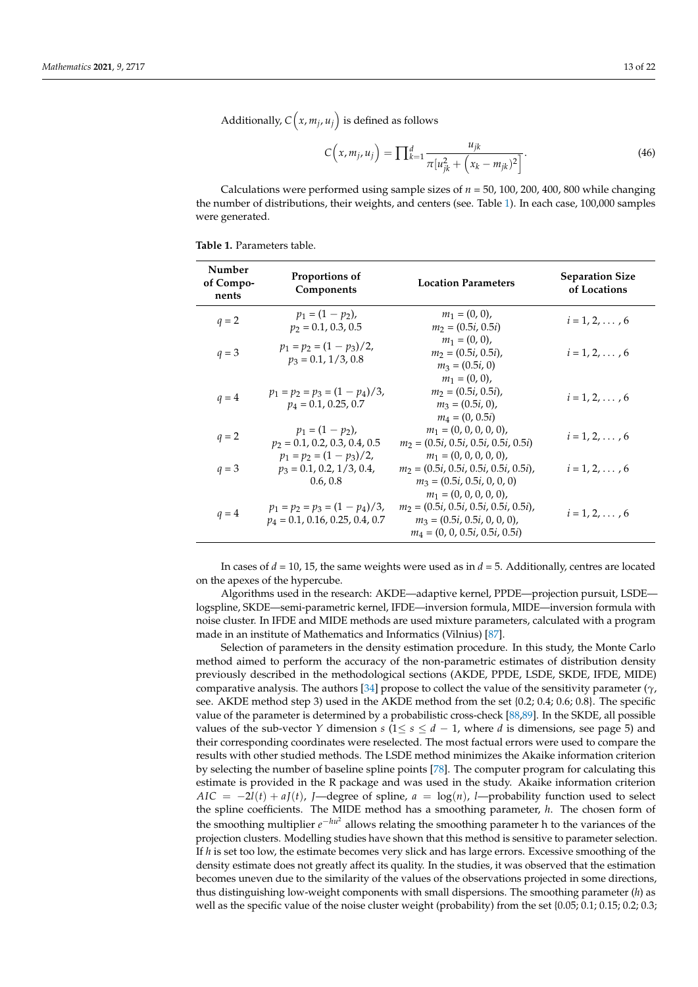Additionally,  $C\left(x, m_j, u_j\right)$  is defined as follows

$$
C(x, m_j, u_j) = \prod_{k=1}^d \frac{u_{jk}}{\pi [u_{jk}^2 + (x_k - m_{jk})^2]}.
$$
\n(46)

Calculations were performed using sample sizes of  $n = 50$ , 100, 200, 400, 800 while changing the number of distributions, their weights, and centers (see. Table [1\)](#page-12-0). In each case, 100,000 samples were generated.

<span id="page-12-0"></span>

|  | <b>Table 1.</b> Parameters table. |  |
|--|-----------------------------------|--|
|  |                                   |  |

| Number<br>of Compo-<br>nents | Proportions of<br>Components                                           | <b>Location Parameters</b>                                                                                                                 | <b>Separation Size</b><br>of Locations |
|------------------------------|------------------------------------------------------------------------|--------------------------------------------------------------------------------------------------------------------------------------------|----------------------------------------|
| $q = 2$                      | $p_1 = (1 - p_2)$ ,<br>$p_2 = 0.1, 0.3, 0.5$                           | $m_1 = (0, 0)$ ,<br>$m_2 = (0.5i, 0.5i)$                                                                                                   | $i = 1, 2, \ldots, 6$                  |
| $q = 3$                      | $p_1 = p_2 = (1 - p_3)/2$<br>$p_3 = 0.1, 1/3, 0.8$                     | $m_1 = (0, 0)$ ,<br>$m_2 = (0.5i, 0.5i)$ ,<br>$m_3 = (0.5i, 0)$                                                                            | $i = 1, 2, \ldots, 6$                  |
| $q = 4$                      | $p_1 = p_2 = p_3 = (1 - p_4)/3$ ,<br>$p_4 = 0.1, 0.25, 0.7$            | $m_1 = (0, 0)$ ,<br>$m_2 = (0.5i, 0.5i)$ ,<br>$m_3 = (0.5i, 0)$ ,<br>$m_4 = (0, 0.5i)$                                                     | $i = 1, 2, \ldots, 6$                  |
| $q = 2$                      | $p_1 = (1 - p_2)$ ,<br>$p_2 = 0.1, 0.2, 0.3, 0.4, 0.5$                 | $m_1 = (0, 0, 0, 0, 0)$ ,<br>$m_2 = (0.5i, 0.5i, 0.5i, 0.5i, 0.5i)$                                                                        | $i = 1, 2, \ldots, 6$                  |
| $q = 3$                      | $p_1 = p_2 = (1 - p_3)/2$<br>$p_3 = 0.1, 0.2, 1/3, 0.4,$<br>0.6, 0.8   | $m_1 = (0, 0, 0, 0, 0)$ ,<br>$m_2 = (0.5i, 0.5i, 0.5i, 0.5i, 0.5i)$ ,<br>$m_3 = (0.5i, 0.5i, 0, 0, 0)$                                     | $i = 1, 2, \ldots, 6$                  |
| $q = 4$                      | $p_1 = p_2 = p_3 = (1 - p_4)/3$ ,<br>$p_4 = 0.1, 0.16, 0.25, 0.4, 0.7$ | $m_1 = (0, 0, 0, 0, 0)$ ,<br>$m_2 = (0.5i, 0.5i, 0.5i, 0.5i, 0.5i)$<br>$m_3 = (0.5i, 0.5i, 0, 0, 0)$ ,<br>$m_4 = (0, 0, 0.5i, 0.5i, 0.5i)$ | $i = 1, 2, \ldots, 6$                  |

In cases of *d* = 10, 15, the same weights were used as in *d* = 5. Additionally, centres are located on the apexes of the hypercube.

Algorithms used in the research: AKDE—adaptive kernel, PPDE—projection pursuit, LSDE logspline, SKDE—semi-parametric kernel, IFDE—inversion formula, MIDE—inversion formula with noise cluster. In IFDE and MIDE methods are used mixture parameters, calculated with a program made in an institute of Mathematics and Informatics (Vilnius) [\[87\]](#page-21-19).

Selection of parameters in the density estimation procedure. In this study, the Monte Carlo method aimed to perform the accuracy of the non-parametric estimates of distribution density previously described in the methodological sections (AKDE, PPDE, LSDE, SKDE, IFDE, MIDE) comparative analysis. The authors [\[34\]](#page-20-8) propose to collect the value of the sensitivity parameter (*γ*, see. AKDE method step 3) used in the AKDE method from the set {0.2; 0.4; 0.6; 0.8}. The specific value of the parameter is determined by a probabilistic cross-check [\[88](#page-21-20)[,89\]](#page-21-21). In the SKDE, all possible values of the sub-vector *Y* dimension *s* ( $1 \le s \le d - 1$ , where *d* is dimensions, see page 5) and their corresponding coordinates were reselected. The most factual errors were used to compare the results with other studied methods. The LSDE method minimizes the Akaike information criterion by selecting the number of baseline spline points [\[78\]](#page-21-22). The computer program for calculating this estimate is provided in the R package and was used in the study. Akaike information criterion *AIC* =  $-2l(t) + aJ(t)$ , *J*—degree of spline,  $a = \log(n)$ , *l*—probability function used to select the spline coefficients. The MIDE method has a smoothing parameter, *h*. The chosen form of the smoothing multiplier  $e^{-hu^2}$  allows relating the smoothing parameter h to the variances of the projection clusters. Modelling studies have shown that this method is sensitive to parameter selection. If *h* is set too low, the estimate becomes very slick and has large errors. Excessive smoothing of the density estimate does not greatly affect its quality. In the studies, it was observed that the estimation becomes uneven due to the similarity of the values of the observations projected in some directions, thus distinguishing low-weight components with small dispersions. The smoothing parameter (*h*) as well as the specific value of the noise cluster weight (probability) from the set {0.05; 0.1; 0.15; 0.2; 0.3;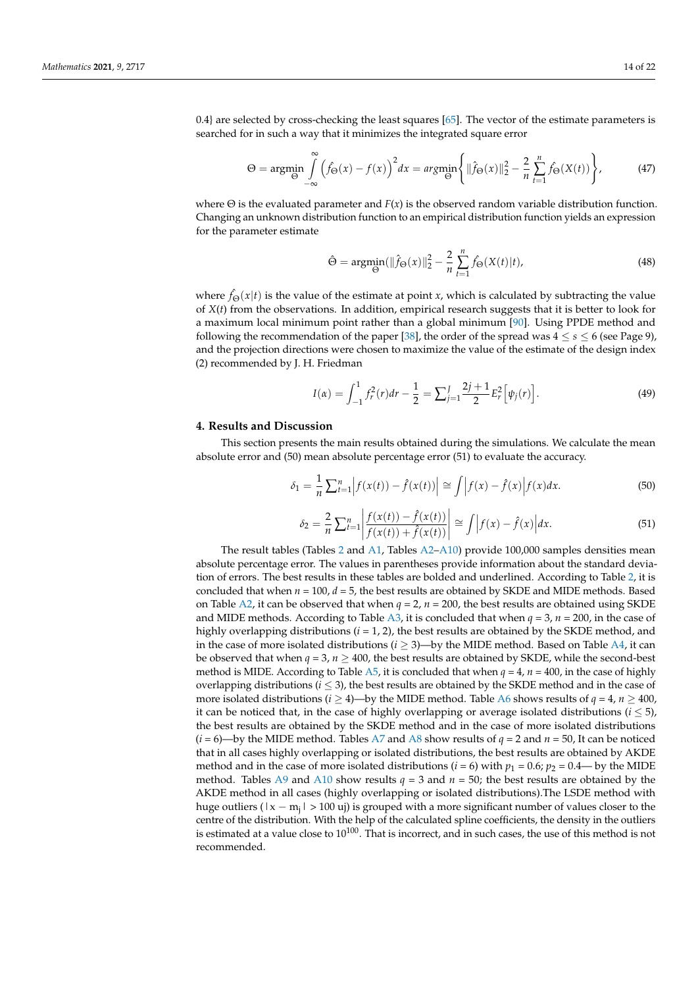0.4} are selected by cross-checking the least squares [\[65\]](#page-21-1). The vector of the estimate parameters is searched for in such a way that it minimizes the integrated square error

$$
\Theta = \underset{\Theta}{\text{argmin}} \int_{-\infty}^{\infty} \left( \hat{f}_{\Theta}(x) - f(x) \right)^2 dx = \underset{\Theta}{\text{argmin}} \left\{ \| \hat{f}_{\Theta}(x) \|_{2}^2 - \frac{2}{n} \sum_{t=1}^{n} \hat{f}_{\Theta}(X(t)) \right\},\tag{47}
$$

where  $\Theta$  is the evaluated parameter and  $F(x)$  is the observed random variable distribution function. Changing an unknown distribution function to an empirical distribution function yields an expression for the parameter estimate

$$
\hat{\Theta} = \underset{\Theta}{\text{argmin}} (\|\hat{f}_{\Theta}(x)\|_{2}^{2} - \frac{2}{n} \sum_{t=1}^{n} \hat{f}_{\Theta}(X(t)|t), \tag{48}
$$

where  $\hat{f}_{\Theta}(x|t)$  is the value of the estimate at point *x*, which is calculated by subtracting the value of *X*(*t*) from the observations. In addition, empirical research suggests that it is better to look for a maximum local minimum point rather than a global minimum [\[90\]](#page-21-23). Using PPDE method and following the recommendation of the paper [\[38\]](#page-20-12), the order of the spread was  $4 \leq s \leq 6$  (see Page 9), and the projection directions were chosen to maximize the value of the estimate of the design index (2) recommended by J. H. Friedman

$$
I(\alpha) = \int_{-1}^{1} f_r^2(r) dr - \frac{1}{2} = \sum_{j=1}^{J} \frac{2j+1}{2} E_r^2 \Big[ \psi_j(r) \Big]. \tag{49}
$$

#### **4. Results and Discussion**

This section presents the main results obtained during the simulations. We calculate the mean absolute error and (50) mean absolute percentage error (51) to evaluate the accuracy.

$$
\delta_1 = \frac{1}{n} \sum_{t=1}^n \left| f(x(t)) - \hat{f}(x(t)) \right| \approx \int \left| f(x) - \hat{f}(x) \right| f(x) dx.
$$
 (50)

$$
\delta_2 = \frac{2}{n} \sum_{t=1}^n \left| \frac{f(x(t)) - \hat{f}(x(t))}{f(x(t)) + \hat{f}(x(t))} \right| \approx \int \left| f(x) - \hat{f}(x) \right| dx.
$$
\n(51)

The result tables (Tables [2](#page-14-0) and [A1,](#page-15-0) Tables [A2–](#page-15-1)[A10\)](#page-18-1) provide 100,000 samples densities mean absolute percentage error. The values in parentheses provide information about the standard deviation of errors. The best results in these tables are bolded and underlined. According to Table [2,](#page-14-0) it is concluded that when  $n = 100$ ,  $d = 5$ , the best results are obtained by SKDE and MIDE methods. Based on Table [A2,](#page-15-1) it can be observed that when  $q = 2$ ,  $n = 200$ , the best results are obtained using SKDE and MIDE methods. According to Table [A3,](#page-15-2) it is concluded that when  $q = 3$ ,  $n = 200$ , in the case of highly overlapping distributions  $(i = 1, 2)$ , the best results are obtained by the SKDE method, and in the case of more isolated distributions ( $i \geq 3$ )—by the MIDE method. Based on Table [A4,](#page-16-0) it can be observed that when  $q = 3$ ,  $n \ge 400$ , the best results are obtained by SKDE, while the second-best method is MIDE. According to Table [A5,](#page-16-1) it is concluded that when  $q = 4$ ,  $n = 400$ , in the case of highly overlapping distributions ( $i \leq 3$ ), the best results are obtained by the SKDE method and in the case of more isolated distributions ( $i \ge 4$ )—by the MIDE method. Table [A6](#page-16-2) shows results of  $q = 4$ ,  $n \ge 400$ , it can be noticed that, in the case of highly overlapping or average isolated distributions  $(i \leq 5)$ , the best results are obtained by the SKDE method and in the case of more isolated distributions  $(i = 6)$ —by the MIDE method. Tables [A7](#page-17-0) and [A8](#page-17-1) show results of  $q = 2$  and  $n = 50$ , It can be noticed that in all cases highly overlapping or isolated distributions, the best results are obtained by AKDE method and in the case of more isolated distributions ( $i = 6$ ) with  $p_1 = 0.6$ ;  $p_2 = 0.4$ — by the MIDE method. Tables [A9](#page-17-2) and [A10](#page-18-1) show results  $q = 3$  and  $n = 50$ ; the best results are obtained by the AKDE method in all cases (highly overlapping or isolated distributions).The LSDE method with huge outliers ( $|x - m_j| > 100$  uj) is grouped with a more significant number of values closer to the centre of the distribution. With the help of the calculated spline coefficients, the density in the outliers is estimated at a value close to  $10^{100}$ . That is incorrect, and in such cases, the use of this method is not recommended.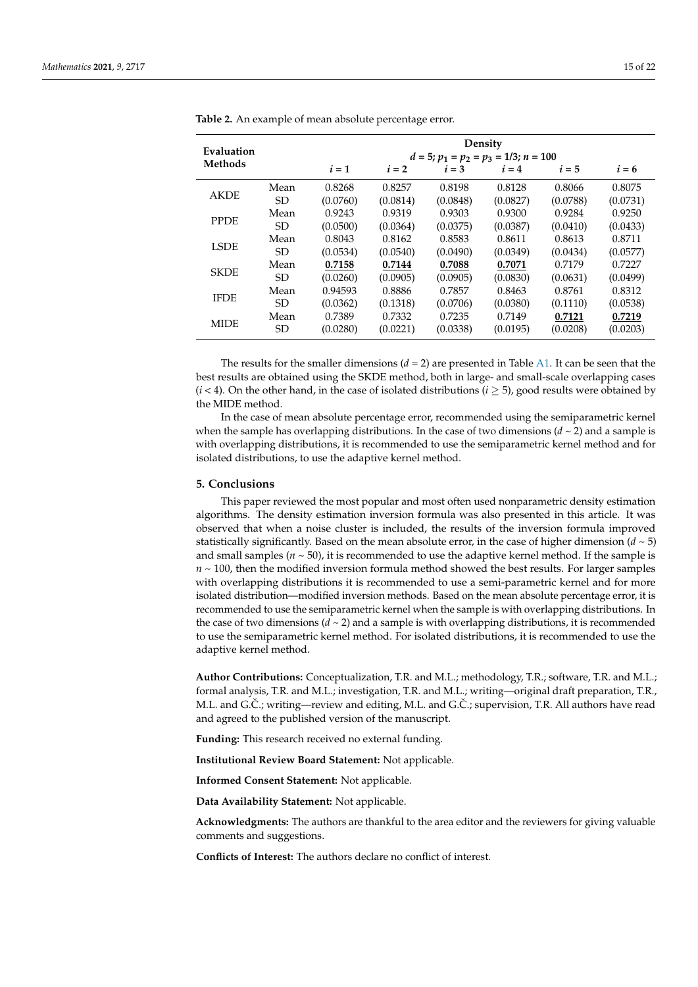| Evaluation  |                |                                         |          |          | Density  |          |          |  |  |
|-------------|----------------|-----------------------------------------|----------|----------|----------|----------|----------|--|--|
|             |                | $d = 5; p_1 = p_2 = p_3 = 1/3; n = 100$ |          |          |          |          |          |  |  |
| Methods     |                | $i=1$                                   | $i=2$    | $i=3$    | $i=4$    | $i=5$    | $i = 6$  |  |  |
| <b>AKDE</b> | Mean           | 0.8268                                  | 0.8257   | 0.8198   | 0.8128   | 0.8066   | 0.8075   |  |  |
|             | SD.            | (0.0760)                                | (0.0814) | (0.0848) | (0.0827) | (0.0788) | (0.0731) |  |  |
|             | Mean           | 0.9243                                  | 0.9319   | 0.9303   | 0.9300   | 0.9284   | 0.9250   |  |  |
| <b>PPDE</b> | SD.            | (0.0500)                                | (0.0364) | (0.0375) | (0.0387) | (0.0410) | (0.0433) |  |  |
|             | Mean           | 0.8043                                  | 0.8162   | 0.8583   | 0.8611   | 0.8613   | 0.8711   |  |  |
| <b>LSDE</b> | <b>SD</b>      | (0.0534)                                | (0.0540) | (0.0490) | (0.0349) | (0.0434) | (0.0577) |  |  |
|             | Mean           | 0.7158                                  | 0.7144   | 0.7088   | 0.7071   | 0.7179   | 0.7227   |  |  |
| <b>SKDE</b> | SD.            | (0.0260)                                | (0.0905) | (0.0905) | (0.0830) | (0.0631) | (0.0499) |  |  |
|             | Mean           | 0.94593                                 | 0.8886   | 0.7857   | 0.8463   | 0.8761   | 0.8312   |  |  |
| <b>IFDE</b> | SD.            | (0.0362)                                | (0.1318) | (0.0706) | (0.0380) | (0.1110) | (0.0538) |  |  |
|             | Mean           | 0.7389                                  | 0.7332   | 0.7235   | 0.7149   | 0.7121   | 0.7219   |  |  |
| <b>MIDE</b> | SD <sub></sub> | (0.0280)                                | (0.0221) | (0.0338) | (0.0195) | (0.0208) | (0.0203) |  |  |
|             |                |                                         |          |          |          |          |          |  |  |

<span id="page-14-0"></span>**Table 2.** An example of mean absolute percentage error.

The results for the smaller dimensions  $(d = 2)$  are presented in Table [A1.](#page-15-0) It can be seen that the best results are obtained using the SKDE method, both in large- and small-scale overlapping cases  $(i < 4)$ . On the other hand, in the case of isolated distributions  $(i \geq 5)$ , good results were obtained by the MIDE method.

In the case of mean absolute percentage error, recommended using the semiparametric kernel when the sample has overlapping distributions. In the case of two dimensions  $(d \sim 2)$  and a sample is with overlapping distributions, it is recommended to use the semiparametric kernel method and for isolated distributions, to use the adaptive kernel method.

## **5. Conclusions**

This paper reviewed the most popular and most often used nonparametric density estimation algorithms. The density estimation inversion formula was also presented in this article. It was observed that when a noise cluster is included, the results of the inversion formula improved statistically significantly. Based on the mean absolute error, in the case of higher dimension  $(d \sim 5)$ and small samples ( $n \sim 50$ ), it is recommended to use the adaptive kernel method. If the sample is  $n \sim 100$ , then the modified inversion formula method showed the best results. For larger samples with overlapping distributions it is recommended to use a semi-parametric kernel and for more isolated distribution—modified inversion methods. Based on the mean absolute percentage error, it is recommended to use the semiparametric kernel when the sample is with overlapping distributions. In the case of two dimensions  $(d \sim 2)$  and a sample is with overlapping distributions, it is recommended to use the semiparametric kernel method. For isolated distributions, it is recommended to use the adaptive kernel method.

**Author Contributions:** Conceptualization, T.R. and M.L.; methodology, T.R.; software, T.R. and M.L.; formal analysis, T.R. and M.L.; investigation, T.R. and M.L.; writing—original draft preparation, T.R., M.L. and G.C.; writing—review and editing, M.L. and G.C.; supervision, T.R. All authors have read and agreed to the published version of the manuscript.

**Funding:** This research received no external funding.

**Institutional Review Board Statement:** Not applicable.

**Informed Consent Statement:** Not applicable.

**Data Availability Statement:** Not applicable.

**Acknowledgments:** The authors are thankful to the area editor and the reviewers for giving valuable comments and suggestions.

**Conflicts of Interest:** The authors declare no conflict of interest.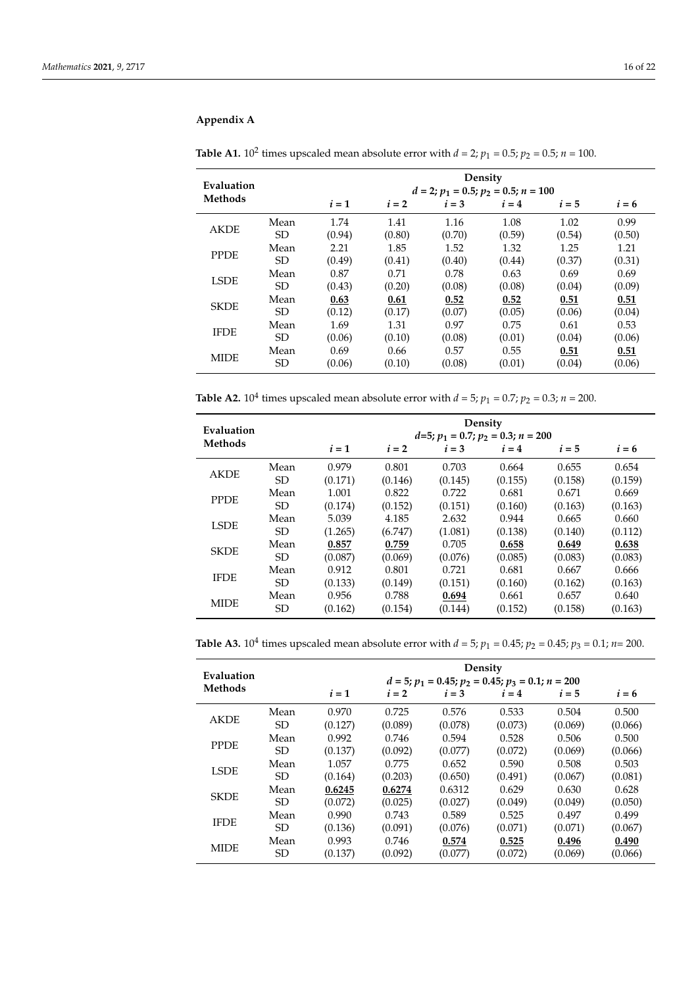# **Appendix A**

| Evaluation     |           | Density<br>$d = 2$ ; $p_1 = 0.5$ ; $p_2 = 0.5$ ; $n = 100$ |        |        |        |        |         |  |  |  |  |
|----------------|-----------|------------------------------------------------------------|--------|--------|--------|--------|---------|--|--|--|--|
| <b>Methods</b> |           | $i=1$                                                      | $i=2$  | $i=3$  | $i=4$  | $i=5$  | $i = 6$ |  |  |  |  |
| <b>AKDE</b>    | Mean      | 1.74                                                       | 1.41   | 1.16   | 1.08   | 1.02   | 0.99    |  |  |  |  |
|                | <b>SD</b> | (0.94)                                                     | (0.80) | (0.70) | (0.59) | (0.54) | (0.50)  |  |  |  |  |
| <b>PPDE</b>    | Mean      | 2.21                                                       | 1.85   | 1.52   | 1.32   | 1.25   | 1.21    |  |  |  |  |
|                | <b>SD</b> | (0.49)                                                     | (0.41) | (0.40) | (0.44) | (0.37) | (0.31)  |  |  |  |  |
| <b>LSDE</b>    | Mean      | 0.87                                                       | 0.71   | 0.78   | 0.63   | 0.69   | 0.69    |  |  |  |  |
|                | <b>SD</b> | (0.43)                                                     | (0.20) | (0.08) | (0.08) | (0.04) | (0.09)  |  |  |  |  |
| <b>SKDE</b>    | Mean      | 0.63                                                       | 0.61   | 0.52   | 0.52   | 0.51   | 0.51    |  |  |  |  |
|                | <b>SD</b> | (0.12)                                                     | (0.17) | (0.07) | (0.05) | (0.06) | (0.04)  |  |  |  |  |
| <b>IFDE</b>    | Mean      | 1.69                                                       | 1.31   | 0.97   | 0.75   | 0.61   | 0.53    |  |  |  |  |
|                | <b>SD</b> | (0.06)                                                     | (0.10) | (0.08) | (0.01) | (0.04) | (0.06)  |  |  |  |  |
| <b>MIDE</b>    | Mean      | 0.69                                                       | 0.66   | 0.57   | 0.55   | 0.51   | 0.51    |  |  |  |  |
|                | <b>SD</b> | (0.06)                                                     | (0.10) | (0.08) | (0.01) | (0.04) | (0.06)  |  |  |  |  |

<span id="page-15-0"></span>**Table A1.** 10<sup>2</sup> times upscaled mean absolute error with  $d = 2$ ;  $p_1 = 0.5$ ;  $p_2 = 0.5$ ;  $n = 100$ .

<span id="page-15-1"></span>**Table A2.** 10<sup>4</sup> times upscaled mean absolute error with  $d = 5$ ;  $p_1 = 0.7$ ;  $p_2 = 0.3$ ;  $n = 200$ .

| Evaluation  |           | Density<br>$d=5; p_1 = 0.7; p_2 = 0.3; n = 200$ |         |         |         |         |         |  |  |  |  |
|-------------|-----------|-------------------------------------------------|---------|---------|---------|---------|---------|--|--|--|--|
| Methods     |           | $i=1$                                           | $i=2$   | $i=3$   | $i=4$   | $i=5$   | $i = 6$ |  |  |  |  |
|             | Mean      | 0.979                                           | 0.801   | 0.703   | 0.664   | 0.655   | 0.654   |  |  |  |  |
| <b>AKDE</b> | <b>SD</b> | (0.171)                                         | (0.146) | (0.145) | (0.155) | (0.158) | (0.159) |  |  |  |  |
|             | Mean      | 1.001                                           | 0.822   | 0.722   | 0.681   | 0.671   | 0.669   |  |  |  |  |
| <b>PPDE</b> | <b>SD</b> | (0.174)                                         | (0.152) | (0.151) | (0.160) | (0.163) | (0.163) |  |  |  |  |
|             | Mean      | 5.039                                           | 4.185   | 2.632   | 0.944   | 0.665   | 0.660   |  |  |  |  |
| <b>LSDE</b> | SD        | (1.265)                                         | (6.747) | (1.081) | (0.138) | (0.140) | (0.112) |  |  |  |  |
| <b>SKDE</b> | Mean      | 0.857                                           | 0.759   | 0.705   | 0.658   | 0.649   | 0.638   |  |  |  |  |
|             | <b>SD</b> | (0.087)                                         | (0.069) | (0.076) | (0.085) | (0.083) | (0.083) |  |  |  |  |
|             | Mean      | 0.912                                           | 0.801   | 0.721   | 0.681   | 0.667   | 0.666   |  |  |  |  |
| <b>IFDE</b> | <b>SD</b> | (0.133)                                         | (0.149) | (0.151) | (0.160) | (0.162) | (0.163) |  |  |  |  |
|             | Mean      | 0.956                                           | 0.788   | 0.694   | 0.661   | 0.657   | 0.640   |  |  |  |  |
| <b>MIDE</b> | SD        | (0.162)                                         | (0.154) | (0.144) | (0.152) | (0.158) | (0.163) |  |  |  |  |

<span id="page-15-2"></span>**Table A3.** 10<sup>4</sup> times upscaled mean absolute error with  $d = 5$ ;  $p_1 = 0.45$ ;  $p_2 = 0.45$ ;  $p_3 = 0.1$ ;  $n = 200$ .

| Evaluation  | Density   |         |         |                                                     |         |         |         |  |  |  |
|-------------|-----------|---------|---------|-----------------------------------------------------|---------|---------|---------|--|--|--|
| Methods     |           |         |         | $d = 5; p_1 = 0.45; p_2 = 0.45; p_3 = 0.1; n = 200$ |         |         |         |  |  |  |
|             |           | $i=1$   | $i=2$   | $i=3$                                               | $i=4$   | $i=5$   | $i = 6$ |  |  |  |
|             | Mean      | 0.970   | 0.725   | 0.576                                               | 0.533   | 0.504   | 0.500   |  |  |  |
| <b>AKDE</b> | SD.       | (0.127) | (0.089) | (0.078)                                             | (0.073) | (0.069) | (0.066) |  |  |  |
| <b>PPDE</b> | Mean      | 0.992   | 0.746   | 0.594                                               | 0.528   | 0.506   | 0.500   |  |  |  |
|             | <b>SD</b> | (0.137) | (0.092) | (0.077)                                             | (0.072) | (0.069) | (0.066) |  |  |  |
| <b>LSDE</b> | Mean      | 1.057   | 0.775   | 0.652                                               | 0.590   | 0.508   | 0.503   |  |  |  |
|             | <b>SD</b> | (0.164) | (0.203) | (0.650)                                             | (0.491) | (0.067) | (0.081) |  |  |  |
| <b>SKDE</b> | Mean      | 0.6245  | 0.6274  | 0.6312                                              | 0.629   | 0.630   | 0.628   |  |  |  |
|             | <b>SD</b> | (0.072) | (0.025) | (0.027)                                             | (0.049) | (0.049) | (0.050) |  |  |  |
|             | Mean      | 0.990   | 0.743   | 0.589                                               | 0.525   | 0.497   | 0.499   |  |  |  |
| <b>IFDE</b> | <b>SD</b> | (0.136) | (0.091) | (0.076)                                             | (0.071) | (0.071) | (0.067) |  |  |  |
| <b>MIDE</b> | Mean      | 0.993   | 0.746   | 0.574                                               | 0.525   | 0.496   | 0.490   |  |  |  |
|             | <b>SD</b> | (0.137) | (0.092) | (0.077)                                             | (0.072) | (0.069) | (0.066) |  |  |  |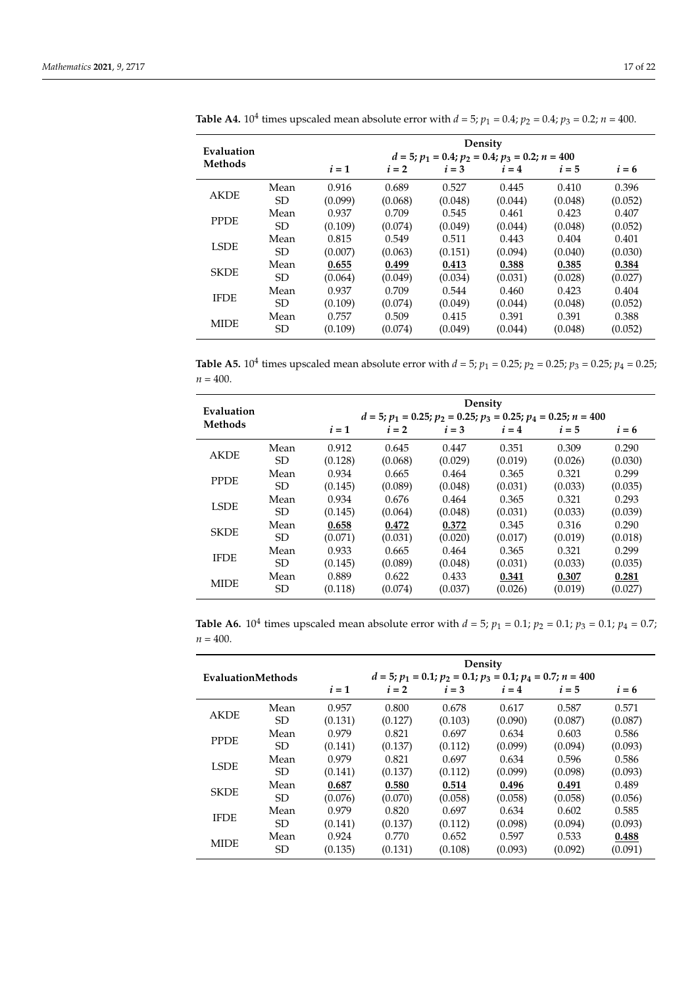| Evaluation  |           | Density<br>$d = 5; p_1 = 0.4; p_2 = 0.4; p_3 = 0.2; n = 400$ |         |         |         |         |         |  |  |  |
|-------------|-----------|--------------------------------------------------------------|---------|---------|---------|---------|---------|--|--|--|
| Methods     |           | $i=1$                                                        | $i=2$   | $i=3$   | $i=4$   | $i=5$   | $i = 6$ |  |  |  |
| <b>AKDE</b> | Mean      | 0.916                                                        | 0.689   | 0.527   | 0.445   | 0.410   | 0.396   |  |  |  |
|             | SD        | (0.099)                                                      | (0.068) | (0.048) | (0.044) | (0.048) | (0.052) |  |  |  |
|             | Mean      | 0.937                                                        | 0.709   | 0.545   | 0.461   | 0.423   | 0.407   |  |  |  |
| <b>PPDE</b> | SD.       | (0.109)                                                      | (0.074) | (0.049) | (0.044) | (0.048) | (0.052) |  |  |  |
|             | Mean      | 0.815                                                        | 0.549   | 0.511   | 0.443   | 0.404   | 0.401   |  |  |  |
| <b>LSDE</b> | SD        | (0.007)                                                      | (0.063) | (0.151) | (0.094) | (0.040) | (0.030) |  |  |  |
|             | Mean      | 0.655                                                        | 0.499   | 0.413   | 0.388   | 0.385   | 0.384   |  |  |  |
| <b>SKDE</b> | SD        | (0.064)                                                      | (0.049) | (0.034) | (0.031) | (0.028) | (0.027) |  |  |  |
|             | Mean      | 0.937                                                        | 0.709   | 0.544   | 0.460   | 0.423   | 0.404   |  |  |  |
| <b>IFDE</b> | SD.       | (0.109)                                                      | (0.074) | (0.049) | (0.044) | (0.048) | (0.052) |  |  |  |
|             | Mean      | 0.757                                                        | 0.509   | 0.415   | 0.391   | 0.391   | 0.388   |  |  |  |
| <b>MIDE</b> | <b>SD</b> | (0.109)                                                      | (0.074) | (0.049) | (0.044) | (0.048) | (0.052) |  |  |  |

<span id="page-16-0"></span>**Table A4.** 10<sup>4</sup> times upscaled mean absolute error with  $d = 5$ ;  $p_1 = 0.4$ ;  $p_2 = 0.4$ ;  $p_3 = 0.2$ ;  $n = 400$ .

<span id="page-16-1"></span>**Table A5.** 10<sup>4</sup> times upscaled mean absolute error with  $d = 5$ ;  $p_1 = 0.25$ ;  $p_2 = 0.25$ ;  $p_3 = 0.25$ ;  $p_4 = 0.25$ ;  $n = 400$ .

| Evaluation  | Density   |         |                                                                  |         |         |         |         |  |  |  |  |
|-------------|-----------|---------|------------------------------------------------------------------|---------|---------|---------|---------|--|--|--|--|
| Methods     |           |         | $d = 5; p_1 = 0.25; p_2 = 0.25; p_3 = 0.25; p_4 = 0.25; n = 400$ |         |         |         |         |  |  |  |  |
|             |           | $i=1$   | $i=2$                                                            | $i=3$   | $i=4$   | $i=5$   | $i = 6$ |  |  |  |  |
| <b>AKDE</b> | Mean      | 0.912   | 0.645                                                            | 0.447   | 0.351   | 0.309   | 0.290   |  |  |  |  |
|             | <b>SD</b> | (0.128) | (0.068)                                                          | (0.029) | (0.019) | (0.026) | (0.030) |  |  |  |  |
|             | Mean      | 0.934   | 0.665                                                            | 0.464   | 0.365   | 0.321   | 0.299   |  |  |  |  |
| <b>PPDE</b> | SD.       | (0.145) | (0.089)                                                          | (0.048) | (0.031) | (0.033) | (0.035) |  |  |  |  |
| <b>LSDE</b> | Mean      | 0.934   | 0.676                                                            | 0.464   | 0.365   | 0.321   | 0.293   |  |  |  |  |
|             | SD.       | (0.145) | (0.064)                                                          | (0.048) | (0.031) | (0.033) | (0.039) |  |  |  |  |
| <b>SKDE</b> | Mean      | 0.658   | 0.472                                                            | 0.372   | 0.345   | 0.316   | 0.290   |  |  |  |  |
|             | SD.       | (0.071) | (0.031)                                                          | (0.020) | (0.017) | (0.019) | (0.018) |  |  |  |  |
|             | Mean      | 0.933   | 0.665                                                            | 0.464   | 0.365   | 0.321   | 0.299   |  |  |  |  |
| <b>IFDE</b> | SD.       | (0.145) | (0.089)                                                          | (0.048) | (0.031) | (0.033) | (0.035) |  |  |  |  |
|             | Mean      | 0.889   | 0.622                                                            | 0.433   | 0.341   | 0.307   | 0.281   |  |  |  |  |
| <b>MIDE</b> | SD        | (0.118) | (0.074)                                                          | (0.037) | (0.026) | (0.019) | (0.027) |  |  |  |  |

<span id="page-16-2"></span>**Table A6.** 10<sup>4</sup> times upscaled mean absolute error with  $d = 5$ ;  $p_1 = 0.1$ ;  $p_2 = 0.1$ ;  $p_3 = 0.1$ ;  $p_4 = 0.7$ ;  $n = 400$ .

|                          |      | Density                                                      |         |         |         |         |         |  |  |
|--------------------------|------|--------------------------------------------------------------|---------|---------|---------|---------|---------|--|--|
| <b>EvaluationMethods</b> |      | $d = 5; p_1 = 0.1; p_2 = 0.1; p_3 = 0.1; p_4 = 0.7; n = 400$ |         |         |         |         |         |  |  |
|                          |      | $i=1$                                                        | $i=2$   | $i=3$   | $i=4$   | $i=5$   | $i = 6$ |  |  |
| <b>AKDE</b>              | Mean | 0.957                                                        | 0.800   | 0.678   | 0.617   | 0.587   | 0.571   |  |  |
|                          | SD   | (0.131)                                                      | (0.127) | (0.103) | (0.090) | (0.087) | (0.087) |  |  |
|                          | Mean | 0.979                                                        | 0.821   | 0.697   | 0.634   | 0.603   | 0.586   |  |  |
| <b>PPDE</b>              | SD.  | (0.141)                                                      | (0.137) | (0.112) | (0.099) | (0.094) | (0.093) |  |  |
|                          | Mean | 0.979                                                        | 0.821   | 0.697   | 0.634   | 0.596   | 0.586   |  |  |
| <b>LSDE</b>              | SD   | (0.141)                                                      | (0.137) | (0.112) | (0.099) | (0.098) | (0.093) |  |  |
| <b>SKDE</b>              | Mean | 0.687                                                        | 0.580   | 0.514   | 0.496   | 0.491   | 0.489   |  |  |
|                          | SD.  | (0.076)                                                      | (0.070) | (0.058) | (0.058) | (0.058) | (0.056) |  |  |
|                          | Mean | 0.979                                                        | 0.820   | 0.697   | 0.634   | 0.602   | 0.585   |  |  |
| <b>IFDE</b>              | SD.  | (0.141)                                                      | (0.137) | (0.112) | (0.098) | (0.094) | (0.093) |  |  |
|                          | Mean | 0.924                                                        | 0.770   | 0.652   | 0.597   | 0.533   | 0.488   |  |  |
| <b>MIDE</b>              | SD   | (0.135)                                                      | (0.131) | (0.108) | (0.093) | (0.092) | (0.091) |  |  |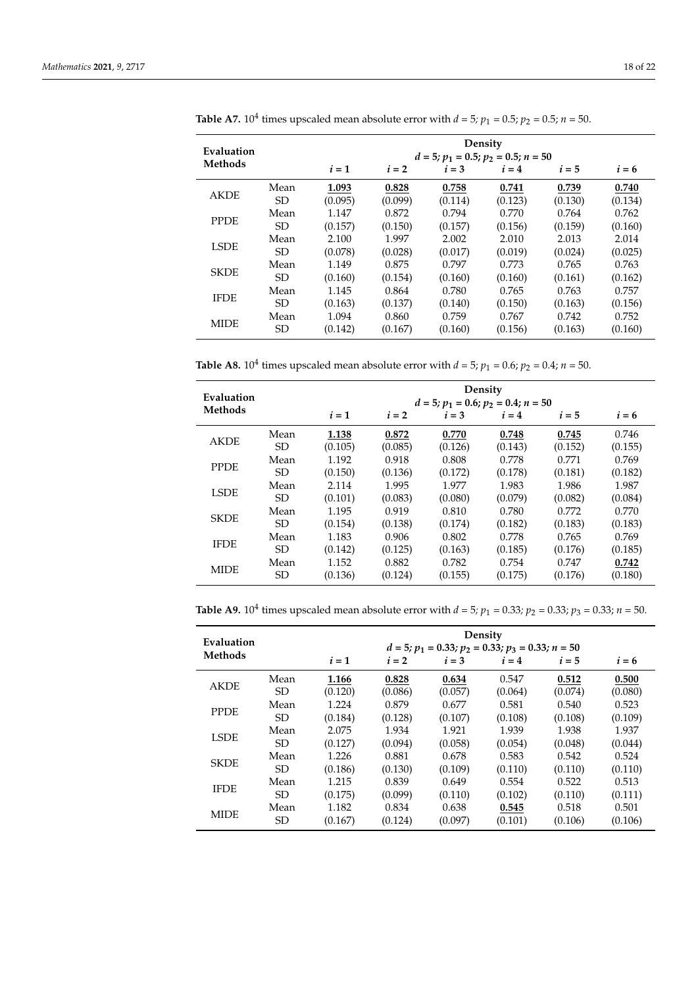| Evaluation  |           | Density<br>$d = 5; p_1 = 0.5; p_2 = 0.5; n = 50$ |         |         |         |         |         |  |  |  |
|-------------|-----------|--------------------------------------------------|---------|---------|---------|---------|---------|--|--|--|
| Methods     |           | $i=1$                                            | $i=2$   | $i=3$   | $i=4$   | $i=5$   | $i = 6$ |  |  |  |
| <b>AKDE</b> | Mean      | 1.093                                            | 0.828   | 0.758   | 0.741   | 0.739   | 0.740   |  |  |  |
|             | <b>SD</b> | (0.095)                                          | (0.099) | (0.114) | (0.123) | (0.130) | (0.134) |  |  |  |
| <b>PPDE</b> | Mean      | 1.147                                            | 0.872   | 0.794   | 0.770   | 0.764   | 0.762   |  |  |  |
|             | SD.       | (0.157)                                          | (0.150) | (0.157) | (0.156) | (0.159) | (0.160) |  |  |  |
| <b>LSDE</b> | Mean      | 2.100                                            | 1.997   | 2.002   | 2.010   | 2.013   | 2.014   |  |  |  |
|             | <b>SD</b> | (0.078)                                          | (0.028) | (0.017) | (0.019) | (0.024) | (0.025) |  |  |  |
| <b>SKDE</b> | Mean      | 1.149                                            | 0.875   | 0.797   | 0.773   | 0.765   | 0.763   |  |  |  |
|             | <b>SD</b> | (0.160)                                          | (0.154) | (0.160) | (0.160) | (0.161) | (0.162) |  |  |  |
| <b>IFDE</b> | Mean      | 1.145                                            | 0.864   | 0.780   | 0.765   | 0.763   | 0.757   |  |  |  |
|             | <b>SD</b> | (0.163)                                          | (0.137) | (0.140) | (0.150) | (0.163) | (0.156) |  |  |  |
| <b>MIDE</b> | Mean      | 1.094                                            | 0.860   | 0.759   | 0.767   | 0.742   | 0.752   |  |  |  |
|             | SD        | (0.142)                                          | (0.167) | (0.160) | (0.156) | (0.163) | (0.160) |  |  |  |

<span id="page-17-0"></span>**Table A7.** 10<sup>4</sup> times upscaled mean absolute error with  $d = 5$ ;  $p_1 = 0.5$ ;  $p_2 = 0.5$ ;  $n = 50$ .

<span id="page-17-1"></span>**Table A8.** 10<sup>4</sup> times upscaled mean absolute error with  $d = 5$ ;  $p_1 = 0.6$ ;  $p_2 = 0.4$ ;  $n = 50$ .

| Evaluation     |           | Density<br>$d = 5; p_1 = 0.6; p_2 = 0.4; n = 50$ |         |         |         |         |         |  |  |  |  |
|----------------|-----------|--------------------------------------------------|---------|---------|---------|---------|---------|--|--|--|--|
| <b>Methods</b> |           | $i=1$                                            | $i=2$   | $i=3$   | $i=4$   | $i=5$   | $i = 6$ |  |  |  |  |
| <b>AKDE</b>    | Mean      | 1.138                                            | 0.872   | 0.770   | 0.748   | 0.745   | 0.746   |  |  |  |  |
|                | SD.       | (0.105)                                          | (0.085) | (0.126) | (0.143) | (0.152) | (0.155) |  |  |  |  |
| <b>PPDE</b>    | Mean      | 1.192                                            | 0.918   | 0.808   | 0.778   | 0.771   | 0.769   |  |  |  |  |
|                | <b>SD</b> | (0.150)                                          | (0.136) | (0.172) | (0.178) | (0.181) | (0.182) |  |  |  |  |
| <b>LSDE</b>    | Mean      | 2.114                                            | 1.995   | 1.977   | 1.983   | 1.986   | 1.987   |  |  |  |  |
|                | SD.       | (0.101)                                          | (0.083) | (0.080) | (0.079) | (0.082) | (0.084) |  |  |  |  |
| <b>SKDE</b>    | Mean      | 1.195                                            | 0.919   | 0.810   | 0.780   | 0.772   | 0.770   |  |  |  |  |
|                | SD.       | (0.154)                                          | (0.138) | (0.174) | (0.182) | (0.183) | (0.183) |  |  |  |  |
| <b>IFDE</b>    | Mean      | 1.183                                            | 0.906   | 0.802   | 0.778   | 0.765   | 0.769   |  |  |  |  |
|                | <b>SD</b> | (0.142)                                          | (0.125) | (0.163) | (0.185) | (0.176) | (0.185) |  |  |  |  |
| <b>MIDE</b>    | Mean      | 1.152                                            | 0.882   | 0.782   | 0.754   | 0.747   | 0.742   |  |  |  |  |
|                | SD        | (0.136)                                          | (0.124) | (0.155) | (0.175) | (0.176) | (0.180) |  |  |  |  |

<span id="page-17-2"></span>**Table A9.** 10<sup>4</sup> times upscaled mean absolute error with  $d = 5$ ;  $p_1 = 0.33$ ;  $p_2 = 0.33$ ;  $p_3 = 0.33$ ;  $n = 50$ .

| Evaluation  |           | Density<br>$d = 5; p_1 = 0.33; p_2 = 0.33; p_3 = 0.33; n = 50$ |         |         |         |         |         |  |  |  |  |
|-------------|-----------|----------------------------------------------------------------|---------|---------|---------|---------|---------|--|--|--|--|
| Methods     |           | $i=1$                                                          | $i=2$   | $i=3$   | $i=4$   | $i=5$   | $i = 6$ |  |  |  |  |
| <b>AKDE</b> | Mean      | 1.166                                                          | 0.828   | 0.634   | 0.547   | 0.512   | 0.500   |  |  |  |  |
|             | <b>SD</b> | (0.120)                                                        | (0.086) | (0.057) | (0.064) | (0.074) | (0.080) |  |  |  |  |
| <b>PPDE</b> | Mean      | 1.224                                                          | 0.879   | 0.677   | 0.581   | 0.540   | 0.523   |  |  |  |  |
|             | SD.       | (0.184)                                                        | (0.128) | (0.107) | (0.108) | (0.108) | (0.109) |  |  |  |  |
| <b>LSDE</b> | Mean      | 2.075                                                          | 1.934   | 1.921   | 1.939   | 1.938   | 1.937   |  |  |  |  |
|             | SD.       | (0.127)                                                        | (0.094) | (0.058) | (0.054) | (0.048) | (0.044) |  |  |  |  |
| <b>SKDE</b> | Mean      | 1.226                                                          | 0.881   | 0.678   | 0.583   | 0.542   | 0.524   |  |  |  |  |
|             | <b>SD</b> | (0.186)                                                        | (0.130) | (0.109) | (0.110) | (0.110) | (0.110) |  |  |  |  |
| <b>IFDE</b> | Mean      | 1.215                                                          | 0.839   | 0.649   | 0.554   | 0.522   | 0.513   |  |  |  |  |
|             | SD.       | (0.175)                                                        | (0.099) | (0.110) | (0.102) | (0.110) | (0.111) |  |  |  |  |
| <b>MIDE</b> | Mean      | 1.182                                                          | 0.834   | 0.638   | 0.545   | 0.518   | 0.501   |  |  |  |  |
|             | <b>SD</b> | (0.167)                                                        | (0.124) | (0.097) | (0.101) | (0.106) | (0.106) |  |  |  |  |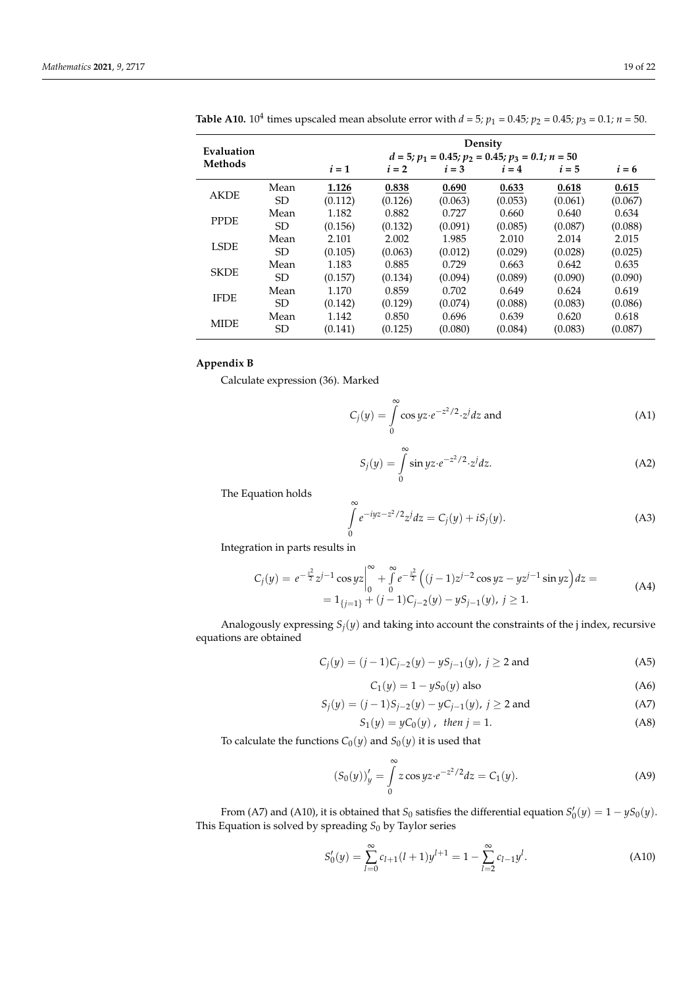| Evaluation<br>Methods |           | Density<br>$d = 5; p_1 = 0.45; p_2 = 0.45; p_3 = 0.1; n = 50$ |         |         |         |         |         |
|-----------------------|-----------|---------------------------------------------------------------|---------|---------|---------|---------|---------|
|                       |           | $i=1$                                                         | $i=2$   | $i=3$   | $i=4$   | $i=5$   | $i = 6$ |
| <b>AKDE</b>           | Mean      | 1.126                                                         | 0.838   | 0.690   | 0.633   | 0.618   | 0.615   |
|                       | <b>SD</b> | (0.112)                                                       | (0.126) | (0.063) | (0.053) | (0.061) | (0.067) |
| <b>PPDE</b>           | Mean      | 1.182                                                         | 0.882   | 0.727   | 0.660   | 0.640   | 0.634   |
|                       | <b>SD</b> | (0.156)                                                       | (0.132) | (0.091) | (0.085) | (0.087) | (0.088) |
| <b>LSDE</b>           | Mean      | 2.101                                                         | 2.002   | 1.985   | 2.010   | 2.014   | 2.015   |
|                       | <b>SD</b> | (0.105)                                                       | (0.063) | (0.012) | (0.029) | (0.028) | (0.025) |
| <b>SKDE</b>           | Mean      | 1.183                                                         | 0.885   | 0.729   | 0.663   | 0.642   | 0.635   |
|                       | <b>SD</b> | (0.157)                                                       | (0.134) | (0.094) | (0.089) | (0.090) | (0.090) |
| <b>IFDE</b>           | Mean      | 1.170                                                         | 0.859   | 0.702   | 0.649   | 0.624   | 0.619   |
|                       | SD.       | (0.142)                                                       | (0.129) | (0.074) | (0.088) | (0.083) | (0.086) |
| <b>MIDE</b>           | Mean      | 1.142                                                         | 0.850   | 0.696   | 0.639   | 0.620   | 0.618   |
|                       | <b>SD</b> | (0.141)                                                       | (0.125) | (0.080) | (0.084) | (0.083) | (0.087) |

<span id="page-18-1"></span>**Table A10.** 10<sup>4</sup> times upscaled mean absolute error with  $d = 5$ ;  $p_1 = 0.45$ ;  $p_2 = 0.45$ ;  $p_3 = 0.1$ ;  $n = 50$ .

# <span id="page-18-0"></span>**Appendix B**

Calculate expression (36). Marked

$$
C_j(y) = \int_0^\infty \cos y z \cdot e^{-z^2/2} \cdot z^j dz
$$
 and (A1)

$$
S_j(y) = \int_0^\infty \sin y z \cdot e^{-z^2/2} \cdot z^j dz. \tag{A2}
$$

The Equation holds

$$
\int_{0}^{\infty} e^{-iyz - z^2/2} z^{j} dz = C_j(y) + iS_j(y).
$$
\n(A3)

Integration in parts results in

$$
C_j(y) = e^{-\frac{z^2}{2}} z^{j-1} \cos yz \Big|_0^{\infty} + \int_0^{\infty} e^{-\frac{z^2}{2}} \Big( (j-1) z^{j-2} \cos yz - yz^{j-1} \sin yz \Big) dz =
$$
  
= 1<sub>{j=1}</sub> + (j-1)C<sub>j-2</sub>(y) - yS<sub>j-1</sub>(y), j \ge 1. (A4)

Analogously expressing  $S_j(y)$  and taking into account the constraints of the j index, recursive equations are obtained

$$
C_j(y) = (j-1)C_{j-2}(y) - yS_{j-1}(y), \ j \ge 2 \text{ and } \tag{A5}
$$

$$
C_1(y) = 1 - yS_0(y) \text{ also}
$$
 (A6)

$$
S_j(y) = (j-1)S_{j-2}(y) - yC_{j-1}(y), \ j \ge 2 \text{ and} \tag{A7}
$$

$$
S_1(y) = yC_0(y), \text{ then } j = 1.
$$
 (A8)

To calculate the functions  $C_0(y)$  and  $S_0(y)$  it is used that

$$
(S_0(y))_y' = \int_0^\infty z \cos y z \cdot e^{-z^2/2} dz = C_1(y). \tag{A9}
$$

From (A7) and (A10), it is obtained that  $S_0$  satisfies the differential equation  $S'_0(y) = 1 - yS_0(y)$ . This Equation is solved by spreading *S*<sup>0</sup> by Taylor series

$$
S'_0(y) = \sum_{l=0}^{\infty} c_{l+1}(l+1)y^{l+1} = 1 - \sum_{l=2}^{\infty} c_{l-1}y^l.
$$
 (A10)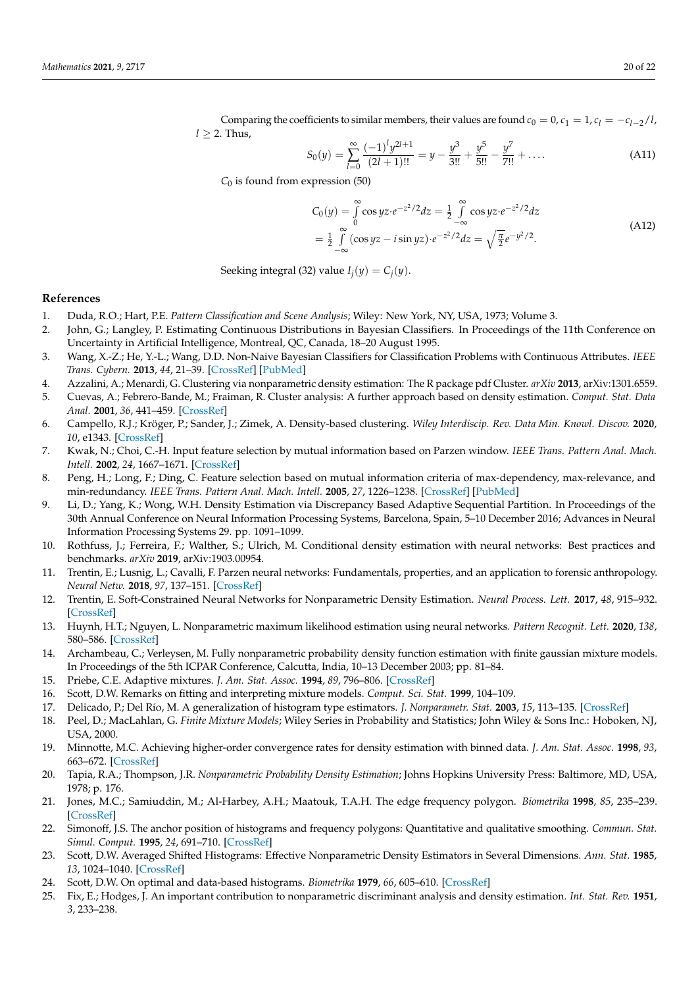Comparing the coefficients to similar members, their values are found  $c_0 = 0$ ,  $c_1 = 1$ ,  $c_l = -c_{l-2}/l$ ,  $l \geq 2$ . Thus,

$$
S_0(y) = \sum_{l=0}^{\infty} \frac{(-1)^l y^{2l+1}}{(2l+1)!!} = y - \frac{y^3}{3!!} + \frac{y^5}{5!!} - \frac{y^7}{7!!} + \dots
$$
 (A11)

*C*<sup>0</sup> is found from expression (50)

$$
C_0(y) = \int_{0}^{\infty} \cos y z \cdot e^{-z^2/2} dz = \frac{1}{2} \int_{-\infty}^{\infty} \cos y z \cdot e^{-z^2/2} dz
$$
  
=  $\frac{1}{2} \int_{-\infty}^{\infty} (\cos y z - i \sin y z) \cdot e^{-z^2/2} dz = \sqrt{\frac{\pi}{2}} e^{-y^2/2}.$  (A12)

Seeking integral (32) value  $I_i(y) = C_i(y)$ .

## **References**

- <span id="page-19-0"></span>1. Duda, R.O.; Hart, P.E. *Pattern Classification and Scene Analysis*; Wiley: New York, NY, USA, 1973; Volume 3.
- <span id="page-19-1"></span>2. John, G.; Langley, P. Estimating Continuous Distributions in Bayesian Classifiers. In Proceedings of the 11th Conference on Uncertainty in Artificial Intelligence, Montreal, QC, Canada, 18–20 August 1995.
- <span id="page-19-2"></span>3. Wang, X.-Z.; He, Y.-L.; Wang, D.D. Non-Naive Bayesian Classifiers for Classification Problems with Continuous Attributes. *IEEE Trans. Cybern.* **2013**, *44*, 21–39. [\[CrossRef\]](http://doi.org/10.1109/TCYB.2013.2245891) [\[PubMed\]](http://www.ncbi.nlm.nih.gov/pubmed/23757531)
- <span id="page-19-3"></span>4. Azzalini, A.; Menardi, G. Clustering via nonparametric density estimation: The R package pdf Cluster. *arXiv* **2013**, arXiv:1301.6559.
- 5. Cuevas, A.; Febrero-Bande, M.; Fraiman, R. Cluster analysis: A further approach based on density estimation. *Comput. Stat. Data Anal.* **2001**, *36*, 441–459. [\[CrossRef\]](http://doi.org/10.1016/S0167-9473(00)00052-9)
- <span id="page-19-4"></span>6. Campello, R.J.; Kröger, P.; Sander, J.; Zimek, A. Density-based clustering. *Wiley Interdiscip. Rev. Data Min. Knowl. Discov.* **2020**, *10*, e1343. [\[CrossRef\]](http://doi.org/10.1002/widm.1343)
- <span id="page-19-5"></span>7. Kwak, N.; Choi, C.-H. Input feature selection by mutual information based on Parzen window. *IEEE Trans. Pattern Anal. Mach. Intell.* **2002**, *24*, 1667–1671. [\[CrossRef\]](http://doi.org/10.1109/TPAMI.2002.1114861)
- <span id="page-19-6"></span>8. Peng, H.; Long, F.; Ding, C. Feature selection based on mutual information criteria of max-dependency, max-relevance, and min-redundancy. *IEEE Trans. Pattern Anal. Mach. Intell.* **2005**, *27*, 1226–1238. [\[CrossRef\]](http://doi.org/10.1109/TPAMI.2005.159) [\[PubMed\]](http://www.ncbi.nlm.nih.gov/pubmed/16119262)
- <span id="page-19-7"></span>9. Li, D.; Yang, K.; Wong, W.H. Density Estimation via Discrepancy Based Adaptive Sequential Partition. In Proceedings of the 30th Annual Conference on Neural Information Processing Systems, Barcelona, Spain, 5–10 December 2016; Advances in Neural Information Processing Systems 29. pp. 1091–1099.
- <span id="page-19-8"></span>10. Rothfuss, J.; Ferreira, F.; Walther, S.; Ulrich, M. Conditional density estimation with neural networks: Best practices and benchmarks. *arXiv* **2019**, arXiv:1903.00954.
- <span id="page-19-9"></span>11. Trentin, E.; Lusnig, L.; Cavalli, F. Parzen neural networks: Fundamentals, properties, and an application to forensic anthropology. *Neural Netw.* **2018**, *97*, 137–151. [\[CrossRef\]](http://doi.org/10.1016/j.neunet.2017.10.002)
- <span id="page-19-10"></span>12. Trentin, E. Soft-Constrained Neural Networks for Nonparametric Density Estimation. *Neural Process. Lett.* **2017**, *48*, 915–932. [\[CrossRef\]](http://doi.org/10.1007/s11063-017-9740-1)
- <span id="page-19-11"></span>13. Huynh, H.T.; Nguyen, L. Nonparametric maximum likelihood estimation using neural networks. *Pattern Recognit. Lett.* **2020**, *138*, 580–586. [\[CrossRef\]](http://doi.org/10.1016/j.patrec.2020.09.006)
- <span id="page-19-12"></span>14. Archambeau, C.; Verleysen, M. Fully nonparametric probability density function estimation with finite gaussian mixture models. In Proceedings of the 5th ICPAR Conference, Calcutta, India, 10–13 December 2003; pp. 81–84.
- 15. Priebe, C.E. Adaptive mixtures. *J. Am. Stat. Assoc.* **1994**, *89*, 796–806. [\[CrossRef\]](http://doi.org/10.1080/01621459.1994.10476813)
- <span id="page-19-13"></span>16. Scott, D.W. Remarks on fitting and interpreting mixture models. *Comput. Sci. Stat.* **1999**, 104–109.
- <span id="page-19-14"></span>17. Delicado, P.; Del Río, M. A generalization of histogram type estimators. *J. Nonparametr. Stat.* **2003**, *15*, 113–135. [\[CrossRef\]](http://doi.org/10.1080/10485250306036)
- 18. Peel, D.; MacLahlan, G. *Finite Mixture Models*; Wiley Series in Probability and Statistics; John Wiley & Sons Inc.: Hoboken, NJ, USA, 2000.
- <span id="page-19-15"></span>19. Minnotte, M.C. Achieving higher-order convergence rates for density estimation with binned data. *J. Am. Stat. Assoc.* **1998**, *93*, 663–672. [\[CrossRef\]](http://doi.org/10.1080/01621459.1998.10473719)
- <span id="page-19-16"></span>20. Tapia, R.A.; Thompson, J.R. *Nonparametric Probability Density Estimation*; Johns Hopkins University Press: Baltimore, MD, USA, 1978; p. 176.
- <span id="page-19-17"></span>21. Jones, M.C.; Samiuddin, M.; Al-Harbey, A.H.; Maatouk, T.A.H. The edge frequency polygon. *Biometrika* **1998**, *85*, 235–239. [\[CrossRef\]](http://doi.org/10.1093/biomet/85.1.235)
- <span id="page-19-18"></span>22. Simonoff, J.S. The anchor position of histograms and frequency polygons: Quantitative and qualitative smoothing. *Commun. Stat. Simul. Comput.* **1995**, *24*, 691–710. [\[CrossRef\]](http://doi.org/10.1080/03610919508813267)
- <span id="page-19-19"></span>23. Scott, D.W. Averaged Shifted Histograms: Effective Nonparametric Density Estimators in Several Dimensions. *Ann. Stat.* **1985**, *13*, 1024–1040. [\[CrossRef\]](http://doi.org/10.1214/aos/1176349654)
- <span id="page-19-20"></span>24. Scott, D.W. On optimal and data-based histograms. *Biometrika* **1979**, *66*, 605–610. [\[CrossRef\]](http://doi.org/10.1093/biomet/66.3.605)
- <span id="page-19-21"></span>25. Fix, E.; Hodges, J. An important contribution to nonparametric discriminant analysis and density estimation. *Int. Stat. Rev.* **1951**, *3*, 233–238.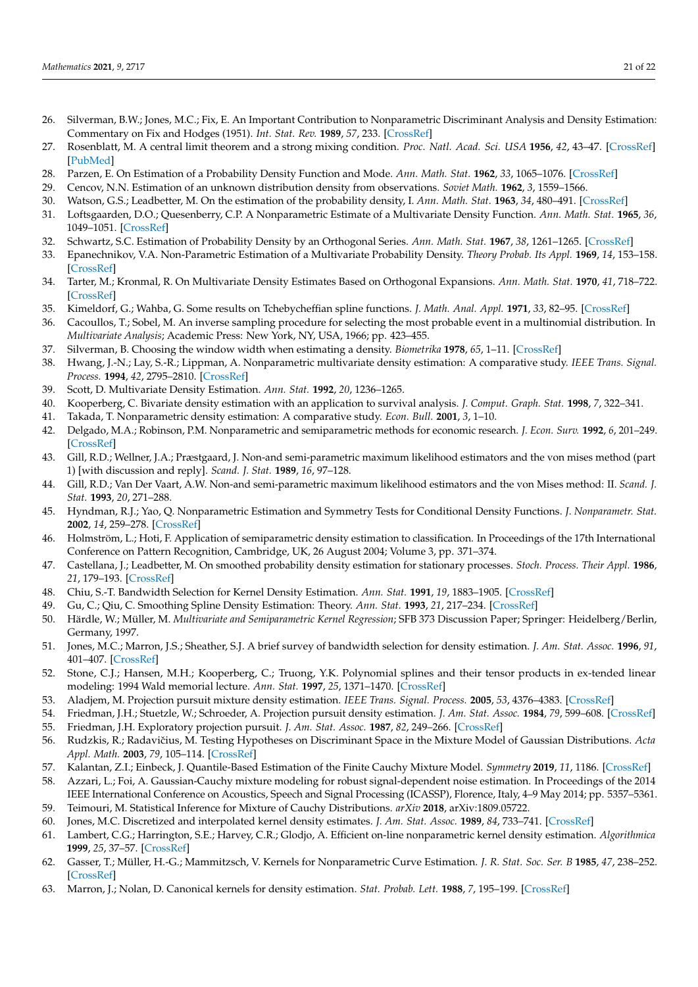- <span id="page-20-0"></span>26. Silverman, B.W.; Jones, M.C.; Fix, E. An Important Contribution to Nonparametric Discriminant Analysis and Density Estimation: Commentary on Fix and Hodges (1951). *Int. Stat. Rev.* **1989**, *57*, 233. [\[CrossRef\]](http://doi.org/10.2307/1403796)
- <span id="page-20-1"></span>27. Rosenblatt, M. A central limit theorem and a strong mixing condition. *Proc. Natl. Acad. Sci. USA* **1956**, *42*, 43–47. [\[CrossRef\]](http://doi.org/10.1073/pnas.42.1.43) [\[PubMed\]](http://www.ncbi.nlm.nih.gov/pubmed/16589813)
- <span id="page-20-2"></span>28. Parzen, E. On Estimation of a Probability Density Function and Mode. *Ann. Math. Stat.* **1962**, *33*, 1065–1076. [\[CrossRef\]](http://doi.org/10.1214/aoms/1177704472)
- <span id="page-20-3"></span>29. Cencov, N.N. Estimation of an unknown distribution density from observations. *Soviet Math.* **1962**, *3*, 1559–1566.
- <span id="page-20-4"></span>30. Watson, G.S.; Leadbetter, M. On the estimation of the probability density, I. *Ann. Math. Stat.* **1963**, *34*, 480–491. [\[CrossRef\]](http://doi.org/10.1214/aoms/1177704159)
- <span id="page-20-5"></span>31. Loftsgaarden, D.O.; Quesenberry, C.P. A Nonparametric Estimate of a Multivariate Density Function. *Ann. Math. Stat.* **1965**, *36*, 1049–1051. [\[CrossRef\]](http://doi.org/10.1214/aoms/1177700079)
- <span id="page-20-6"></span>32. Schwartz, S.C. Estimation of Probability Density by an Orthogonal Series. *Ann. Math. Stat.* **1967**, *38*, 1261–1265. [\[CrossRef\]](http://doi.org/10.1214/aoms/1177698795)
- <span id="page-20-7"></span>33. Epanechnikov, V.A. Non-Parametric Estimation of a Multivariate Probability Density. *Theory Probab. Its Appl.* **1969**, *14*, 153–158. [\[CrossRef\]](http://doi.org/10.1137/1114019)
- <span id="page-20-8"></span>34. Tarter, M.; Kronmal, R. On Multivariate Density Estimates Based on Orthogonal Expansions. *Ann. Math. Stat.* **1970**, *41*, 718–722. [\[CrossRef\]](http://doi.org/10.1214/aoms/1177697122)
- <span id="page-20-9"></span>35. Kimeldorf, G.; Wahba, G. Some results on Tchebycheffian spline functions. *J. Math. Anal. Appl.* **1971**, *33*, 82–95. [\[CrossRef\]](http://doi.org/10.1016/0022-247X(71)90184-3)
- <span id="page-20-10"></span>36. Cacoullos, T.; Sobel, M. An inverse sampling procedure for selecting the most probable event in a multinomial distribution. In *Multivariate Analysis*; Academic Press: New York, NY, USA, 1966; pp. 423–455.
- <span id="page-20-11"></span>37. Silverman, B. Choosing the window width when estimating a density. *Biometrika* **1978**, *65*, 1–11. [\[CrossRef\]](http://doi.org/10.1093/biomet/65.1.1)
- <span id="page-20-12"></span>38. Hwang, J.-N.; Lay, S.-R.; Lippman, A. Nonparametric multivariate density estimation: A comparative study. *IEEE Trans. Signal. Process.* **1994**, *42*, 2795–2810. [\[CrossRef\]](http://doi.org/10.1109/78.324744)
- <span id="page-20-13"></span>39. Scott, D. Multivariate Density Estimation. *Ann. Stat.* **1992**, *20*, 1236–1265.
- <span id="page-20-14"></span>40. Kooperberg, C. Bivariate density estimation with an application to survival analysis. *J. Comput. Graph. Stat.* **1998**, *7*, 322–341.
- <span id="page-20-15"></span>41. Takada, T. Nonparametric density estimation: A comparative study. *Econ. Bull.* **2001**, *3*, 1–10.
- <span id="page-20-16"></span>42. Delgado, M.A.; Robinson, P.M. Nonparametric and semiparametric methods for economic research. *J. Econ. Surv.* **1992**, *6*, 201–249. [\[CrossRef\]](http://doi.org/10.1111/j.1467-6419.1992.tb00151.x)
- 43. Gill, R.D.; Wellner, J.A.; Præstgaard, J. Non-and semi-parametric maximum likelihood estimators and the von mises method (part 1) [with discussion and reply]. *Scand. J. Stat.* **1989**, *16*, 97–128.
- 44. Gill, R.D.; Van Der Vaart, A.W. Non-and semi-parametric maximum likelihood estimators and the von Mises method: II. *Scand. J. Stat.* **1993**, *20*, 271–288.
- 45. Hyndman, R.J.; Yao, Q. Nonparametric Estimation and Symmetry Tests for Conditional Density Functions. *J. Nonparametr. Stat.* **2002**, *14*, 259–278. [\[CrossRef\]](http://doi.org/10.1080/10485250212374)
- <span id="page-20-17"></span>46. Holmström, L.; Hoti, F. Application of semiparametric density estimation to classification. In Proceedings of the 17th International Conference on Pattern Recognition, Cambridge, UK, 26 August 2004; Volume 3, pp. 371–374.
- <span id="page-20-18"></span>47. Castellana, J.; Leadbetter, M. On smoothed probability density estimation for stationary processes. *Stoch. Process. Their Appl.* **1986**, *21*, 179–193. [\[CrossRef\]](http://doi.org/10.1016/0304-4149(86)90095-5)
- 48. Chiu, S.-T. Bandwidth Selection for Kernel Density Estimation. *Ann. Stat.* **1991**, *19*, 1883–1905. [\[CrossRef\]](http://doi.org/10.1214/aos/1176348376)
- 49. Gu, C.; Qiu, C. Smoothing Spline Density Estimation: Theory. *Ann. Stat.* **1993**, *21*, 217–234. [\[CrossRef\]](http://doi.org/10.1214/aos/1176349023)
- 50. Härdle, W.; Müller, M. *Multivariate and Semiparametric Kernel Regression*; SFB 373 Discussion Paper; Springer: Heidelberg/Berlin, Germany, 1997.
- 51. Jones, M.C.; Marron, J.S.; Sheather, S.J. A brief survey of bandwidth selection for density estimation. *J. Am. Stat. Assoc.* **1996**, *91*, 401–407. [\[CrossRef\]](http://doi.org/10.1080/01621459.1996.10476701)
- <span id="page-20-19"></span>52. Stone, C.J.; Hansen, M.H.; Kooperberg, C.; Truong, Y.K. Polynomial splines and their tensor products in ex-tended linear modeling: 1994 Wald memorial lecture. *Ann. Stat.* **1997**, *25*, 1371–1470. [\[CrossRef\]](http://doi.org/10.1214/aos/1031594728)
- <span id="page-20-20"></span>53. Aladjem, M. Projection pursuit mixture density estimation. *IEEE Trans. Signal. Process.* **2005**, *53*, 4376–4383. [\[CrossRef\]](http://doi.org/10.1109/TSP.2005.857007)
- <span id="page-20-29"></span>54. Friedman, J.H.; Stuetzle, W.; Schroeder, A. Projection pursuit density estimation. *J. Am. Stat. Assoc.* **1984**, *79*, 599–608. [\[CrossRef\]](http://doi.org/10.1080/01621459.1984.10478086)
- <span id="page-20-30"></span>55. Friedman, J.H. Exploratory projection pursuit. *J. Am. Stat. Assoc.* **1987**, *82*, 249–266. [\[CrossRef\]](http://doi.org/10.1080/01621459.1987.10478427)
- <span id="page-20-21"></span>56. Rudzkis, R.; Radavičius, M. Testing Hypotheses on Discriminant Space in the Mixture Model of Gaussian Distributions. Acta *Appl. Math.* **2003**, *79*, 105–114. [\[CrossRef\]](http://doi.org/10.1023/A:1025891613510)
- <span id="page-20-22"></span>57. Kalantan, Z.I.; Einbeck, J. Quantile-Based Estimation of the Finite Cauchy Mixture Model. *Symmetry* **2019**, *11*, 1186. [\[CrossRef\]](http://doi.org/10.3390/sym11091186)
- <span id="page-20-23"></span>58. Azzari, L.; Foi, A. Gaussian-Cauchy mixture modeling for robust signal-dependent noise estimation. In Proceedings of the 2014 IEEE International Conference on Acoustics, Speech and Signal Processing (ICASSP), Florence, Italy, 4–9 May 2014; pp. 5357–5361.
- <span id="page-20-24"></span>59. Teimouri, M. Statistical Inference for Mixture of Cauchy Distributions. *arXiv* **2018**, arXiv:1809.05722.
- <span id="page-20-25"></span>60. Jones, M.C. Discretized and interpolated kernel density estimates. *J. Am. Stat. Assoc.* **1989**, *84*, 733–741. [\[CrossRef\]](http://doi.org/10.1080/01621459.1989.10478827)
- <span id="page-20-26"></span>61. Lambert, C.G.; Harrington, S.E.; Harvey, C.R.; Glodjo, A. Efficient on-line nonparametric kernel density estimation. *Algorithmica* **1999**, *25*, 37–57. [\[CrossRef\]](http://doi.org/10.1007/PL00009282)
- <span id="page-20-27"></span>62. Gasser, T.; Müller, H.-G.; Mammitzsch, V. Kernels for Nonparametric Curve Estimation. *J. R. Stat. Soc. Ser. B* **1985**, *47*, 238–252. [\[CrossRef\]](http://doi.org/10.1111/j.2517-6161.1985.tb01350.x)
- <span id="page-20-28"></span>63. Marron, J.; Nolan, D. Canonical kernels for density estimation. *Stat. Probab. Lett.* **1988**, *7*, 195–199. [\[CrossRef\]](http://doi.org/10.1016/0167-7152(88)90050-8)